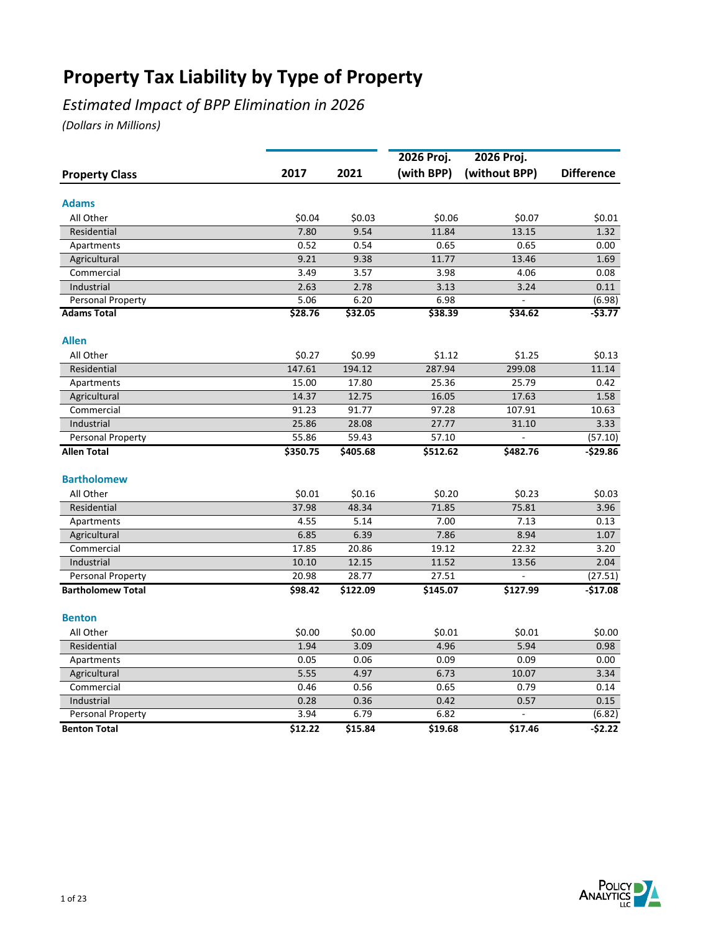## *Estimated Impact of BPP Elimination in 2026*

|                                 |              |              | 2026 Proj.      | 2026 Proj.    |                    |
|---------------------------------|--------------|--------------|-----------------|---------------|--------------------|
| <b>Property Class</b>           | 2017         | 2021         | (with BPP)      | (without BPP) | <b>Difference</b>  |
| <b>Adams</b>                    |              |              |                 |               |                    |
| All Other                       | \$0.04       | \$0.03       |                 | \$0.07        | \$0.01             |
| Residential                     | 7.80         | 9.54         | \$0.06<br>11.84 | 13.15         | 1.32               |
|                                 | 0.52         | 0.54         | 0.65            | 0.65          | 0.00               |
| Apartments                      |              |              |                 |               |                    |
| Agricultural<br>Commercial      | 9.21<br>3.49 | 9.38<br>3.57 | 11.77<br>3.98   | 13.46<br>4.06 | 1.69<br>0.08       |
|                                 |              |              |                 |               |                    |
| Industrial<br>Personal Property | 2.63<br>5.06 | 2.78<br>6.20 | 3.13<br>6.98    | 3.24          | 0.11               |
| <b>Adams Total</b>              | \$28.76      | \$32.05      | \$38.39         | \$34.62       | (6.98)<br>$-53.77$ |
|                                 |              |              |                 |               |                    |
| <b>Allen</b>                    |              |              |                 |               |                    |
| All Other                       | \$0.27       | \$0.99       | \$1.12          | \$1.25        | \$0.13             |
| Residential                     | 147.61       | 194.12       | 287.94          | 299.08        | 11.14              |
| Apartments                      | 15.00        | 17.80        | 25.36           | 25.79         | 0.42               |
| Agricultural                    | 14.37        | 12.75        | 16.05           | 17.63         | 1.58               |
| Commercial                      | 91.23        | 91.77        | 97.28           | 107.91        | 10.63              |
| Industrial                      | 25.86        | 28.08        | 27.77           | 31.10         | 3.33               |
| Personal Property               | 55.86        | 59.43        | 57.10           |               | (57.10)            |
| <b>Allen Total</b>              | \$350.75     | \$405.68     | \$512.62        | \$482.76      | $-529.86$          |
| <b>Bartholomew</b>              |              |              |                 |               |                    |
| All Other                       | \$0.01       | \$0.16       | \$0.20          | \$0.23        | \$0.03             |
| Residential                     | 37.98        | 48.34        | 71.85           | 75.81         | 3.96               |
| Apartments                      | 4.55         | 5.14         | 7.00            | 7.13          | 0.13               |
| Agricultural                    | 6.85         | 6.39         | 7.86            | 8.94          | 1.07               |
| Commercial                      | 17.85        | 20.86        | 19.12           | 22.32         | 3.20               |
| Industrial                      | 10.10        | 12.15        | 11.52           | 13.56         | 2.04               |
| Personal Property               | 20.98        | 28.77        | 27.51           |               | (27.51)            |
| <b>Bartholomew Total</b>        | \$98.42      | \$122.09     | \$145.07        | \$127.99      | $-$17.08$          |
| <b>Benton</b>                   |              |              |                 |               |                    |
|                                 |              |              |                 |               |                    |
| All Other                       | \$0.00       | \$0.00       | \$0.01          | \$0.01        | \$0.00             |
| Residential                     | 1.94         | 3.09         | 4.96            | 5.94          | 0.98               |
| Apartments                      | 0.05         | 0.06         | 0.09            | 0.09          | 0.00               |
| Agricultural                    | 5.55         | 4.97         | 6.73            | 10.07         | 3.34               |
| Commercial                      | 0.46         | 0.56         | 0.65            | 0.79          | 0.14               |
| Industrial                      | 0.28         | 0.36         | 0.42            | 0.57          | 0.15               |
| Personal Property               | 3.94         | 6.79         | 6.82            |               | (6.82)             |
| <b>Benton Total</b>             | \$12.22      | \$15.84      | \$19.68         | \$17.46       | $-52.22$           |

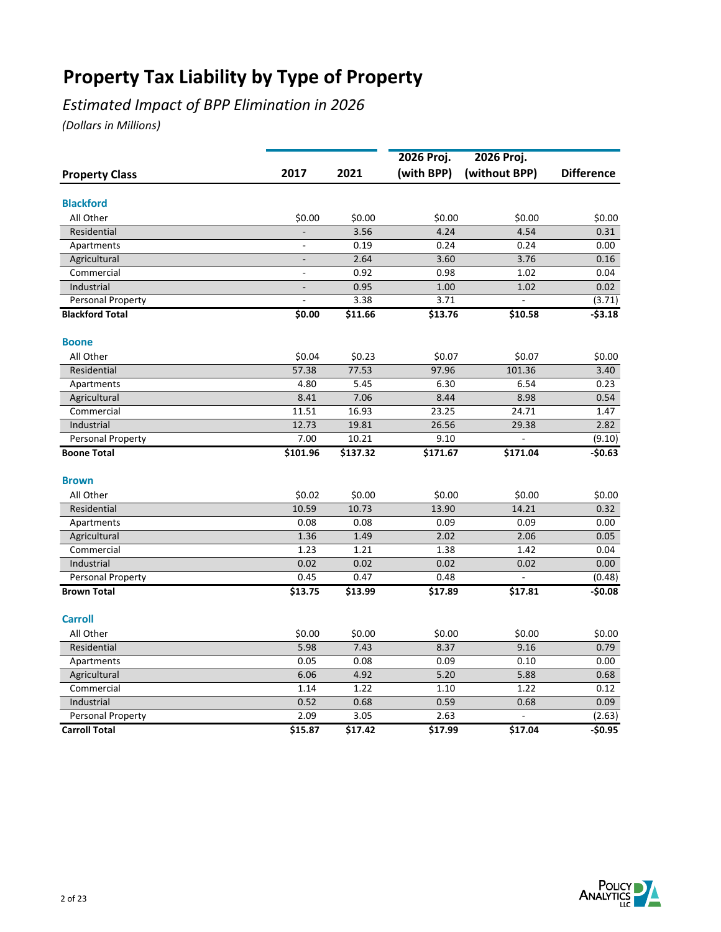## *Estimated Impact of BPP Elimination in 2026*

|                            |                |          | 2026 Proj. | 2026 Proj.     |                   |
|----------------------------|----------------|----------|------------|----------------|-------------------|
| <b>Property Class</b>      | 2017           | 2021     | (with BPP) | (without BPP)  | <b>Difference</b> |
| <b>Blackford</b>           |                |          |            |                |                   |
| All Other                  | \$0.00         | \$0.00   | \$0.00     | \$0.00         | \$0.00            |
| Residential                |                | 3.56     | 4.24       | 4.54           | 0.31              |
| Apartments                 |                | 0.19     | 0.24       | 0.24           | 0.00              |
|                            | $\blacksquare$ | 2.64     | 3.60       | 3.76           | 0.16              |
| Agricultural<br>Commercial | $\blacksquare$ | 0.92     | 0.98       | 1.02           | 0.04              |
| Industrial                 |                | 0.95     | 1.00       | 1.02           | 0.02              |
| Personal Property          |                | 3.38     | 3.71       |                | (3.71)            |
| <b>Blackford Total</b>     | \$0.00         | \$11.66  | \$13.76    | \$10.58        | $-53.18$          |
|                            |                |          |            |                |                   |
| <b>Boone</b>               |                |          |            |                |                   |
| All Other                  | \$0.04         | \$0.23   | \$0.07     | \$0.07         | \$0.00            |
| Residential                | 57.38          | 77.53    | 97.96      | 101.36         | 3.40              |
| Apartments                 | 4.80           | 5.45     | 6.30       | 6.54           | 0.23              |
| Agricultural               | 8.41           | 7.06     | 8.44       | 8.98           | 0.54              |
| Commercial                 | 11.51          | 16.93    | 23.25      | 24.71          | 1.47              |
| Industrial                 | 12.73          | 19.81    | 26.56      | 29.38          | 2.82              |
| Personal Property          | 7.00           | 10.21    | 9.10       | $\overline{a}$ | (9.10)            |
| <b>Boone Total</b>         | \$101.96       | \$137.32 | \$171.67   | \$171.04       | $-50.63$          |
| <b>Brown</b>               |                |          |            |                |                   |
| All Other                  | \$0.02         | \$0.00   | \$0.00     | \$0.00         | \$0.00            |
| Residential                | 10.59          | 10.73    | 13.90      | 14.21          | 0.32              |
| Apartments                 | 0.08           | 0.08     | 0.09       | 0.09           | 0.00              |
| Agricultural               | 1.36           | 1.49     | 2.02       | 2.06           | 0.05              |
| Commercial                 | 1.23           | 1.21     | 1.38       | 1.42           | 0.04              |
| Industrial                 | 0.02           | 0.02     | 0.02       | 0.02           | 0.00              |
| Personal Property          | 0.45           | 0.47     | 0.48       |                | (0.48)            |
| <b>Brown Total</b>         | \$13.75        | \$13.99  | \$17.89    | \$17.81        | $-50.08$          |
| <b>Carroll</b>             |                |          |            |                |                   |
| All Other                  | \$0.00         | \$0.00   | \$0.00     | \$0.00         | \$0.00            |
| Residential                | 5.98           | 7.43     | 8.37       | 9.16           | 0.79              |
| Apartments                 | 0.05           | 0.08     | 0.09       | 0.10           | 0.00              |
| Agricultural               | 6.06           | 4.92     | 5.20       | 5.88           | 0.68              |
| Commercial                 | 1.14           | 1.22     | 1.10       | 1.22           | 0.12              |
| Industrial                 | 0.52           | 0.68     | 0.59       | 0.68           | 0.09              |
| Personal Property          | 2.09           | 3.05     | 2.63       |                | (2.63)            |
| <b>Carroll Total</b>       | \$15.87        | \$17.42  | \$17.99    | \$17.04        | $-50.95$          |

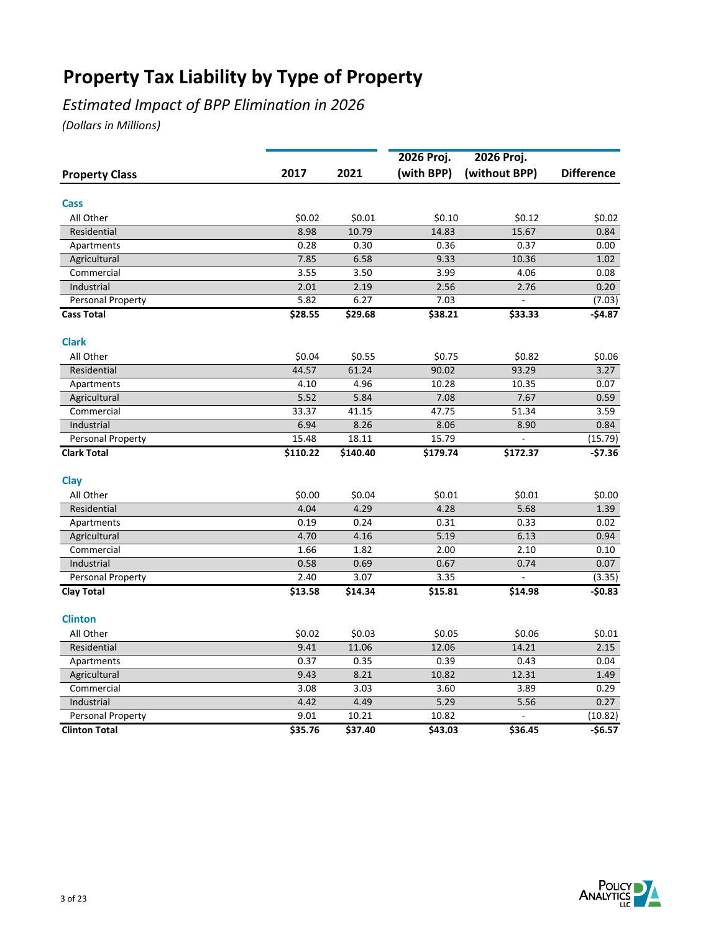## *Estimated Impact of BPP Elimination in 2026*

|                       |          |          | 2026 Proj. | 2026 Proj.    |                   |
|-----------------------|----------|----------|------------|---------------|-------------------|
| <b>Property Class</b> | 2017     | 2021     | (with BPP) | (without BPP) | <b>Difference</b> |
| Cass                  |          |          |            |               |                   |
| All Other             | \$0.02   | \$0.01   | \$0.10     | \$0.12        | \$0.02            |
| Residential           | 8.98     | 10.79    | 14.83      | 15.67         | 0.84              |
| Apartments            | 0.28     | 0.30     | 0.36       | 0.37          | 0.00              |
| Agricultural          | 7.85     | 6.58     | 9.33       | 10.36         | 1.02              |
| Commercial            | 3.55     | 3.50     | 3.99       | 4.06          | 0.08              |
| Industrial            | 2.01     | 2.19     | 2.56       | 2.76          | 0.20              |
| Personal Property     | 5.82     | 6.27     | 7.03       |               | (7.03)            |
| <b>Cass Total</b>     | \$28.55  | \$29.68  | \$38.21    | \$33.33       | $-$4.87$          |
| <b>Clark</b>          |          |          |            |               |                   |
| All Other             | \$0.04   | \$0.55   | \$0.75     | \$0.82        | \$0.06            |
| Residential           | 44.57    | 61.24    | 90.02      | 93.29         | 3.27              |
| Apartments            | 4.10     | 4.96     | 10.28      | 10.35         | 0.07              |
| Agricultural          | 5.52     | 5.84     | 7.08       | 7.67          | 0.59              |
| Commercial            | 33.37    | 41.15    | 47.75      | 51.34         | 3.59              |
| Industrial            | 6.94     | 8.26     | 8.06       | 8.90          | 0.84              |
| Personal Property     | 15.48    | 18.11    | 15.79      |               | (15.79)           |
| <b>Clark Total</b>    | \$110.22 | \$140.40 | \$179.74   | \$172.37      | $-$7.36$          |
| Clay                  |          |          |            |               |                   |
| All Other             | \$0.00   | \$0.04   | \$0.01     | \$0.01        | \$0.00            |
| Residential           | 4.04     | 4.29     | 4.28       | 5.68          | 1.39              |
| Apartments            | 0.19     | 0.24     | 0.31       | 0.33          | 0.02              |
| Agricultural          | 4.70     | 4.16     | 5.19       | 6.13          | 0.94              |
| Commercial            | 1.66     | 1.82     | 2.00       | 2.10          | 0.10              |
| Industrial            | 0.58     | 0.69     | 0.67       | 0.74          | 0.07              |
| Personal Property     | 2.40     | 3.07     | 3.35       |               | (3.35)            |
| <b>Clay Total</b>     | \$13.58  | \$14.34  | \$15.81    | \$14.98       | $-50.83$          |
| <b>Clinton</b>        |          |          |            |               |                   |
| All Other             | \$0.02   | \$0.03   | \$0.05     | \$0.06        | \$0.01            |
| Residential           | 9.41     | 11.06    | 12.06      | 14.21         | 2.15              |
| Apartments            | 0.37     | 0.35     | 0.39       | 0.43          | 0.04              |
| Agricultural          | 9.43     | 8.21     | 10.82      | 12.31         | 1.49              |
| Commercial            | 3.08     | 3.03     | 3.60       | 3.89          | 0.29              |
| Industrial            | 4.42     | 4.49     | 5.29       | 5.56          | 0.27              |
| Personal Property     | 9.01     | 10.21    | 10.82      |               | (10.82)           |
| <b>Clinton Total</b>  | \$35.76  | \$37.40  | \$43.03    | \$36.45       | $-56.57$          |

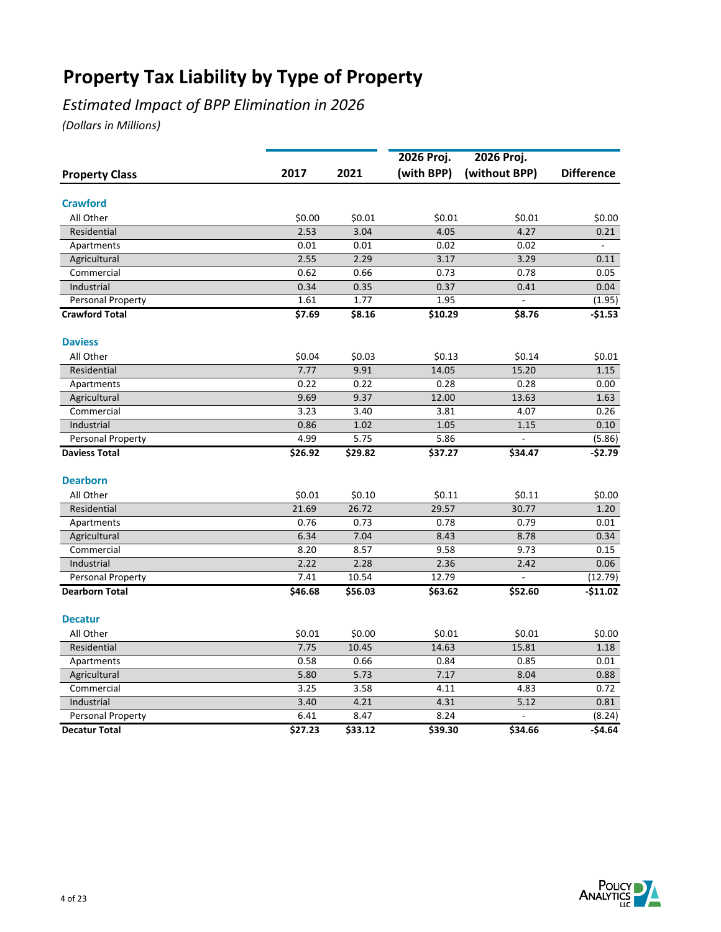## *Estimated Impact of BPP Elimination in 2026*

|                       |         |         | 2026 Proj. | 2026 Proj.    |                   |
|-----------------------|---------|---------|------------|---------------|-------------------|
| <b>Property Class</b> | 2017    | 2021    | (with BPP) | (without BPP) | <b>Difference</b> |
| <b>Crawford</b>       |         |         |            |               |                   |
| All Other             | \$0.00  | \$0.01  | \$0.01     | \$0.01        | \$0.00            |
| Residential           | 2.53    | 3.04    | 4.05       | 4.27          | 0.21              |
| Apartments            | 0.01    | 0.01    | 0.02       | 0.02          |                   |
| Agricultural          | 2.55    | 2.29    | 3.17       | 3.29          | 0.11              |
| Commercial            | 0.62    | 0.66    | 0.73       | 0.78          | 0.05              |
| Industrial            | 0.34    | 0.35    | 0.37       | 0.41          | 0.04              |
| Personal Property     | 1.61    | 1.77    | 1.95       |               | (1.95)            |
| <b>Crawford Total</b> | \$7.69  | \$8.16  | \$10.29    | \$8.76        | $-$1.53$          |
| <b>Daviess</b>        |         |         |            |               |                   |
| All Other             | \$0.04  | \$0.03  | \$0.13     | \$0.14        | \$0.01            |
| Residential           | 7.77    | 9.91    | 14.05      | 15.20         | 1.15              |
| Apartments            | 0.22    | 0.22    | 0.28       | 0.28          | 0.00              |
| Agricultural          | 9.69    | 9.37    | 12.00      | 13.63         | 1.63              |
| Commercial            | 3.23    | 3.40    | 3.81       | 4.07          | 0.26              |
| Industrial            | 0.86    | 1.02    | 1.05       | 1.15          | 0.10              |
| Personal Property     | 4.99    | 5.75    | 5.86       |               | (5.86)            |
| <b>Daviess Total</b>  | \$26.92 | \$29.82 | \$37.27    | \$34.47       | $-$2.79$          |
| <b>Dearborn</b>       |         |         |            |               |                   |
| All Other             | \$0.01  | \$0.10  | \$0.11     | \$0.11        | \$0.00            |
| Residential           | 21.69   | 26.72   | 29.57      | 30.77         | 1.20              |
| Apartments            | 0.76    | 0.73    | 0.78       | 0.79          | 0.01              |
| Agricultural          | 6.34    | 7.04    | 8.43       | 8.78          | 0.34              |
| Commercial            | 8.20    | 8.57    | 9.58       | 9.73          | 0.15              |
| Industrial            | 2.22    | 2.28    | 2.36       | 2.42          | 0.06              |
| Personal Property     | 7.41    | 10.54   | 12.79      |               | (12.79)           |
| <b>Dearborn Total</b> | \$46.68 | \$56.03 | \$63.62    | \$52.60       | $-$11.02$         |
| <b>Decatur</b>        |         |         |            |               |                   |
| All Other             | \$0.01  | \$0.00  | \$0.01     | \$0.01        | \$0.00            |
| Residential           | 7.75    | 10.45   | 14.63      | 15.81         | 1.18              |
| Apartments            | 0.58    | 0.66    | 0.84       | 0.85          | 0.01              |
| Agricultural          | 5.80    | 5.73    | 7.17       | 8.04          | 0.88              |
| Commercial            | 3.25    | 3.58    | 4.11       | 4.83          | 0.72              |
| Industrial            | 3.40    | 4.21    | 4.31       | 5.12          | 0.81              |
| Personal Property     | 6.41    | 8.47    | 8.24       |               | (8.24)            |
| <b>Decatur Total</b>  | \$27.23 | \$33.12 | \$39.30    | \$34.66       | -\$4.64           |

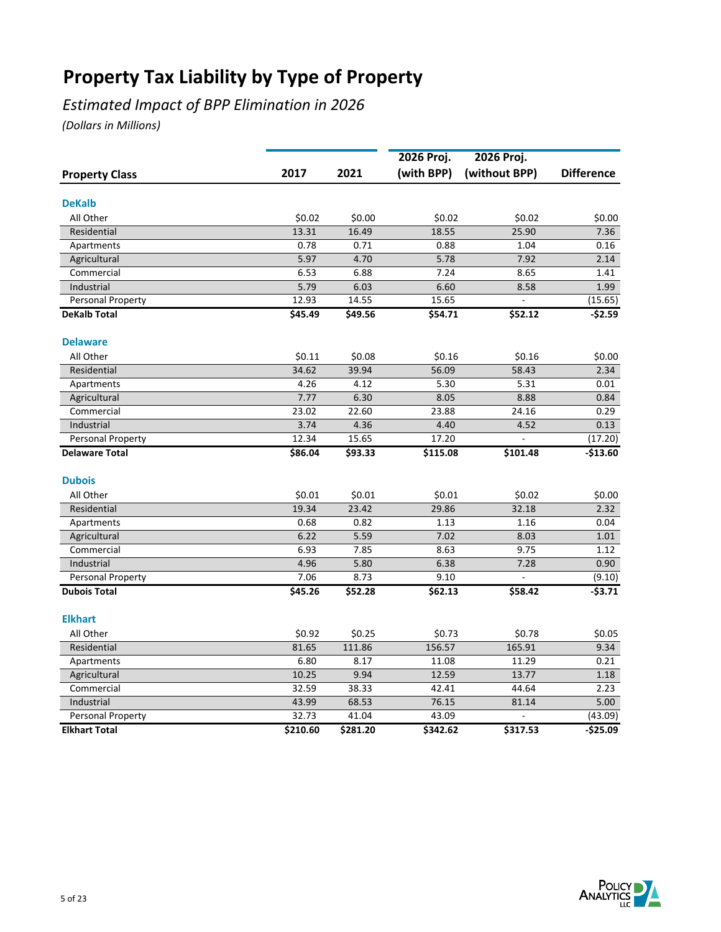## *Estimated Impact of BPP Elimination in 2026*

|                       |          |          | 2026 Proj. | 2026 Proj.    |                   |
|-----------------------|----------|----------|------------|---------------|-------------------|
| <b>Property Class</b> | 2017     | 2021     | (with BPP) | (without BPP) | <b>Difference</b> |
| <b>DeKalb</b>         |          |          |            |               |                   |
| All Other             | \$0.02   | \$0.00   | \$0.02     | \$0.02        | \$0.00            |
| Residential           | 13.31    | 16.49    | 18.55      | 25.90         | 7.36              |
| Apartments            | 0.78     | 0.71     | 0.88       | 1.04          | 0.16              |
| Agricultural          | 5.97     | 4.70     | 5.78       | 7.92          | 2.14              |
| Commercial            | 6.53     | 6.88     | 7.24       | 8.65          | 1.41              |
| Industrial            | 5.79     | 6.03     | 6.60       | 8.58          | 1.99              |
| Personal Property     | 12.93    | 14.55    | 15.65      |               | (15.65)           |
| <b>DeKalb Total</b>   | \$45.49  | \$49.56  | \$54.71    | \$52.12       | $-52.59$          |
| <b>Delaware</b>       |          |          |            |               |                   |
| All Other             | \$0.11   | \$0.08   | \$0.16     | \$0.16        | \$0.00            |
| Residential           | 34.62    | 39.94    | 56.09      | 58.43         | 2.34              |
| Apartments            | 4.26     | 4.12     | 5.30       | 5.31          | 0.01              |
| Agricultural          | 7.77     | 6.30     | 8.05       | 8.88          | 0.84              |
| Commercial            | 23.02    | 22.60    | 23.88      | 24.16         | 0.29              |
| Industrial            | 3.74     | 4.36     | 4.40       | 4.52          | 0.13              |
| Personal Property     | 12.34    | 15.65    | 17.20      |               | (17.20)           |
| <b>Delaware Total</b> | \$86.04  | \$93.33  | \$115.08   | \$101.48      | $-$13.60$         |
| <b>Dubois</b>         |          |          |            |               |                   |
| All Other             | \$0.01   | \$0.01   | \$0.01     | \$0.02        | \$0.00            |
| Residential           | 19.34    | 23.42    | 29.86      | 32.18         | 2.32              |
| Apartments            | 0.68     | 0.82     | 1.13       | 1.16          | 0.04              |
| Agricultural          | 6.22     | 5.59     | 7.02       | 8.03          | 1.01              |
| Commercial            | 6.93     | 7.85     | 8.63       | 9.75          | 1.12              |
| Industrial            | 4.96     | 5.80     | 6.38       | 7.28          | 0.90              |
| Personal Property     | 7.06     | 8.73     | 9.10       |               | (9.10)            |
| <b>Dubois Total</b>   | \$45.26  | \$52.28  | \$62.13    | \$58.42       | $-53.71$          |
| <b>Elkhart</b>        |          |          |            |               |                   |
| All Other             | \$0.92   | \$0.25   | \$0.73     | \$0.78        | \$0.05            |
| Residential           | 81.65    | 111.86   | 156.57     | 165.91        | 9.34              |
| Apartments            | 6.80     | 8.17     | 11.08      | 11.29         | 0.21              |
| Agricultural          | 10.25    | 9.94     | 12.59      | 13.77         | 1.18              |
| Commercial            | 32.59    | 38.33    | 42.41      | 44.64         | 2.23              |
| Industrial            | 43.99    | 68.53    | 76.15      | 81.14         | 5.00              |
| Personal Property     | 32.73    | 41.04    | 43.09      |               | (43.09)           |
| <b>Elkhart Total</b>  | \$210.60 | \$281.20 | \$342.62   | \$317.53      | $-525.09$         |

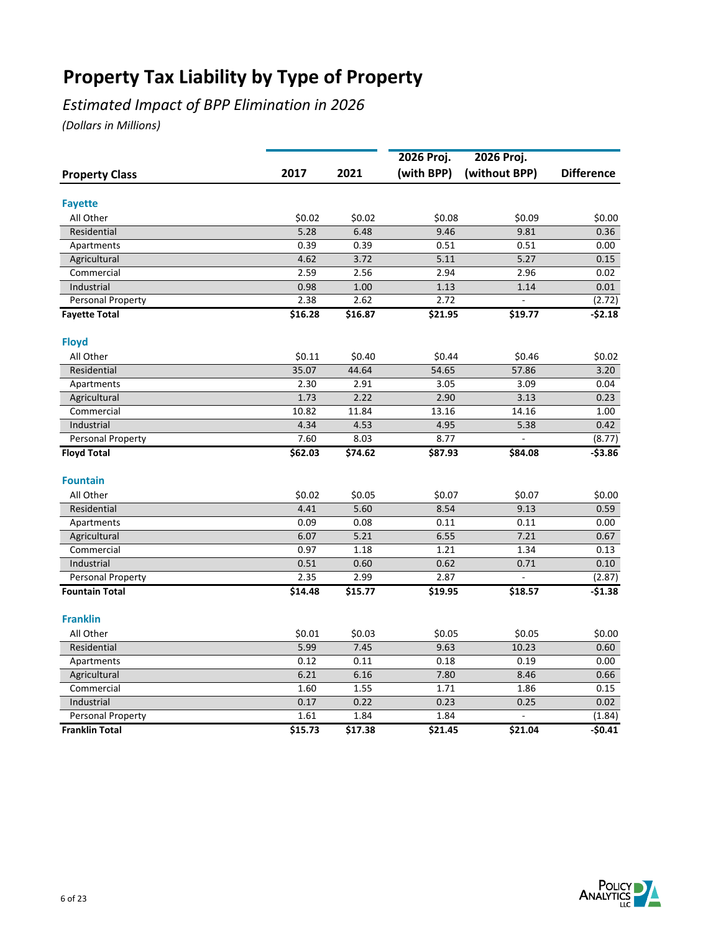## *Estimated Impact of BPP Elimination in 2026*

|                       |         |         | 2026 Proj. | 2026 Proj.     |                   |
|-----------------------|---------|---------|------------|----------------|-------------------|
| <b>Property Class</b> | 2017    | 2021    | (with BPP) | (without BPP)  | <b>Difference</b> |
|                       |         |         |            |                |                   |
| <b>Fayette</b>        |         |         |            |                |                   |
| All Other             | \$0.02  | \$0.02  | \$0.08     | \$0.09         | \$0.00            |
| Residential           | 5.28    | 6.48    | 9.46       | 9.81           | 0.36              |
| Apartments            | 0.39    | 0.39    | 0.51       | 0.51           | 0.00              |
| Agricultural          | 4.62    | 3.72    | 5.11       | 5.27           | 0.15              |
| Commercial            | 2.59    | 2.56    | 2.94       | 2.96           | 0.02              |
| Industrial            | 0.98    | 1.00    | 1.13       | 1.14           | 0.01              |
| Personal Property     | 2.38    | 2.62    | 2.72       | $\overline{a}$ | (2.72)            |
| <b>Fayette Total</b>  | \$16.28 | \$16.87 | \$21.95    | \$19.77        | $-52.18$          |
| <b>Floyd</b>          |         |         |            |                |                   |
| All Other             | \$0.11  | \$0.40  | \$0.44     | \$0.46         | \$0.02            |
| Residential           | 35.07   | 44.64   | 54.65      | 57.86          | 3.20              |
| Apartments            | 2.30    | 2.91    | 3.05       | 3.09           | 0.04              |
| Agricultural          | 1.73    | 2.22    | 2.90       | 3.13           | 0.23              |
| Commercial            | 10.82   | 11.84   | 13.16      | 14.16          | 1.00              |
| Industrial            | 4.34    | 4.53    | 4.95       | 5.38           | 0.42              |
| Personal Property     | 7.60    | 8.03    | 8.77       |                | (8.77)            |
| <b>Floyd Total</b>    | \$62.03 | \$74.62 | \$87.93    | \$84.08        | $-53.86$          |
| <b>Fountain</b>       |         |         |            |                |                   |
| All Other             | \$0.02  | \$0.05  | \$0.07     | \$0.07         | \$0.00            |
| Residential           | 4.41    | 5.60    | 8.54       | 9.13           | 0.59              |
| Apartments            | 0.09    | 0.08    | 0.11       | 0.11           | 0.00              |
| Agricultural          | 6.07    | 5.21    | 6.55       | 7.21           | 0.67              |
| Commercial            | 0.97    | 1.18    | 1.21       | 1.34           | 0.13              |
| Industrial            | 0.51    | 0.60    | 0.62       | 0.71           | 0.10              |
| Personal Property     | 2.35    | 2.99    | 2.87       |                | (2.87)            |
| <b>Fountain Total</b> | \$14.48 | \$15.77 | \$19.95    | \$18.57        | $-51.38$          |
| <b>Franklin</b>       |         |         |            |                |                   |
| All Other             | \$0.01  | \$0.03  | \$0.05     | \$0.05         | \$0.00            |
| Residential           | 5.99    | 7.45    | 9.63       | 10.23          | 0.60              |
| Apartments            | 0.12    | 0.11    | 0.18       | 0.19           | 0.00              |
| Agricultural          | 6.21    | 6.16    | 7.80       | 8.46           | 0.66              |
| Commercial            | 1.60    | 1.55    | 1.71       | 1.86           | 0.15              |
| Industrial            | 0.17    | 0.22    | 0.23       | 0.25           | 0.02              |
| Personal Property     | 1.61    | 1.84    | 1.84       |                | (1.84)            |
| <b>Franklin Total</b> | \$15.73 | \$17.38 | \$21.45    | \$21.04        | $-50.41$          |
|                       |         |         |            |                |                   |

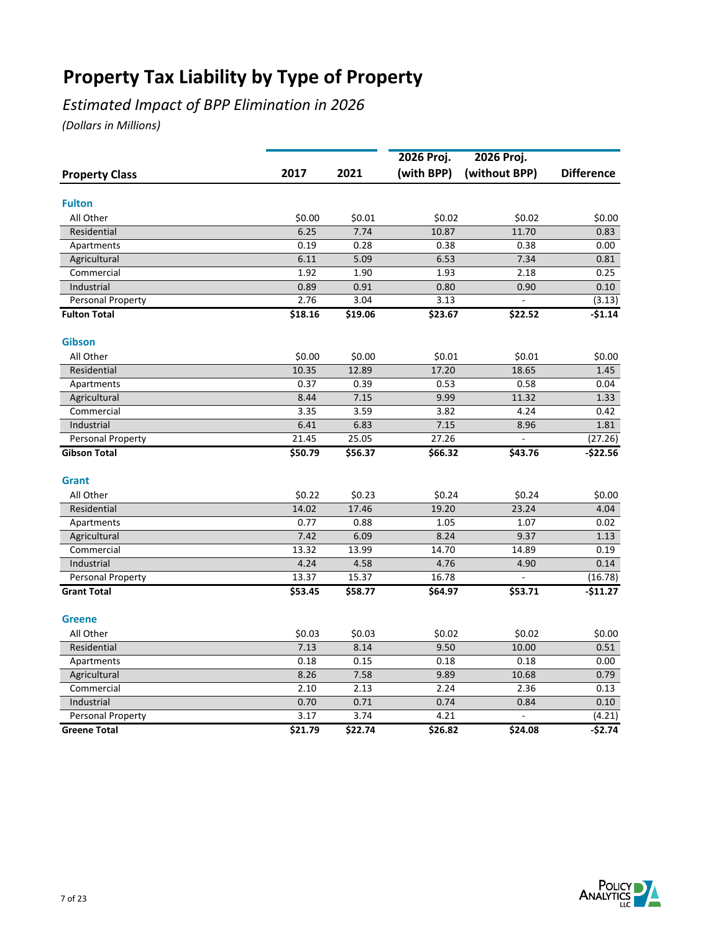## *Estimated Impact of BPP Elimination in 2026*

|                       |         |         | 2026 Proj. | 2026 Proj.    |                   |
|-----------------------|---------|---------|------------|---------------|-------------------|
| <b>Property Class</b> | 2017    | 2021    | (with BPP) | (without BPP) | <b>Difference</b> |
| <b>Fulton</b>         |         |         |            |               |                   |
| All Other             | \$0.00  | \$0.01  | \$0.02     | \$0.02        | \$0.00            |
| Residential           | 6.25    | 7.74    | 10.87      | 11.70         | 0.83              |
| Apartments            | 0.19    | 0.28    | 0.38       | 0.38          | 0.00              |
| Agricultural          | 6.11    | 5.09    | 6.53       | 7.34          | 0.81              |
| Commercial            | 1.92    | 1.90    | 1.93       | 2.18          | 0.25              |
| Industrial            | 0.89    | 0.91    | 0.80       | 0.90          | 0.10              |
| Personal Property     | 2.76    | 3.04    | 3.13       |               | (3.13)            |
| <b>Fulton Total</b>   | \$18.16 | \$19.06 | \$23.67    | \$22.52       | $-$1.14$          |
| <b>Gibson</b>         |         |         |            |               |                   |
| All Other             | \$0.00  | \$0.00  | \$0.01     | \$0.01        | \$0.00            |
| Residential           | 10.35   | 12.89   | 17.20      | 18.65         | 1.45              |
| Apartments            | 0.37    | 0.39    | 0.53       | 0.58          | 0.04              |
| Agricultural          | 8.44    | 7.15    | 9.99       | 11.32         | 1.33              |
| Commercial            | 3.35    | 3.59    | 3.82       | 4.24          | 0.42              |
| Industrial            | 6.41    | 6.83    | 7.15       | 8.96          | 1.81              |
| Personal Property     | 21.45   | 25.05   | 27.26      |               | (27.26)           |
| <b>Gibson Total</b>   | \$50.79 | \$56.37 | \$66.32    | \$43.76       | $-$22.56$         |
| <b>Grant</b>          |         |         |            |               |                   |
| All Other             | \$0.22  | \$0.23  | \$0.24     | \$0.24        | \$0.00            |
| Residential           | 14.02   | 17.46   | 19.20      | 23.24         | 4.04              |
| Apartments            | 0.77    | 0.88    | 1.05       | 1.07          | 0.02              |
| Agricultural          | 7.42    | 6.09    | 8.24       | 9.37          | 1.13              |
| Commercial            | 13.32   | 13.99   | 14.70      | 14.89         | 0.19              |
| Industrial            | 4.24    | 4.58    | 4.76       | 4.90          | 0.14              |
| Personal Property     | 13.37   | 15.37   | 16.78      |               | (16.78)           |
| <b>Grant Total</b>    | \$53.45 | \$58.77 | \$64.97    | \$53.71       | -\$11.27          |
| <b>Greene</b>         |         |         |            |               |                   |
| All Other             | \$0.03  | \$0.03  | \$0.02     | \$0.02        | \$0.00            |
| Residential           | 7.13    | 8.14    | 9.50       | 10.00         | 0.51              |
| Apartments            | 0.18    | 0.15    | 0.18       | 0.18          | 0.00              |
| Agricultural          | 8.26    | 7.58    | 9.89       | 10.68         | 0.79              |
| Commercial            | 2.10    | 2.13    | 2.24       | 2.36          | 0.13              |
| Industrial            | 0.70    | 0.71    | 0.74       | 0.84          | 0.10              |
| Personal Property     | 3.17    | 3.74    | 4.21       |               | (4.21)            |
| <b>Greene Total</b>   | 521.79  | \$22.74 | \$26.82    | \$24.08       | $-52.74$          |

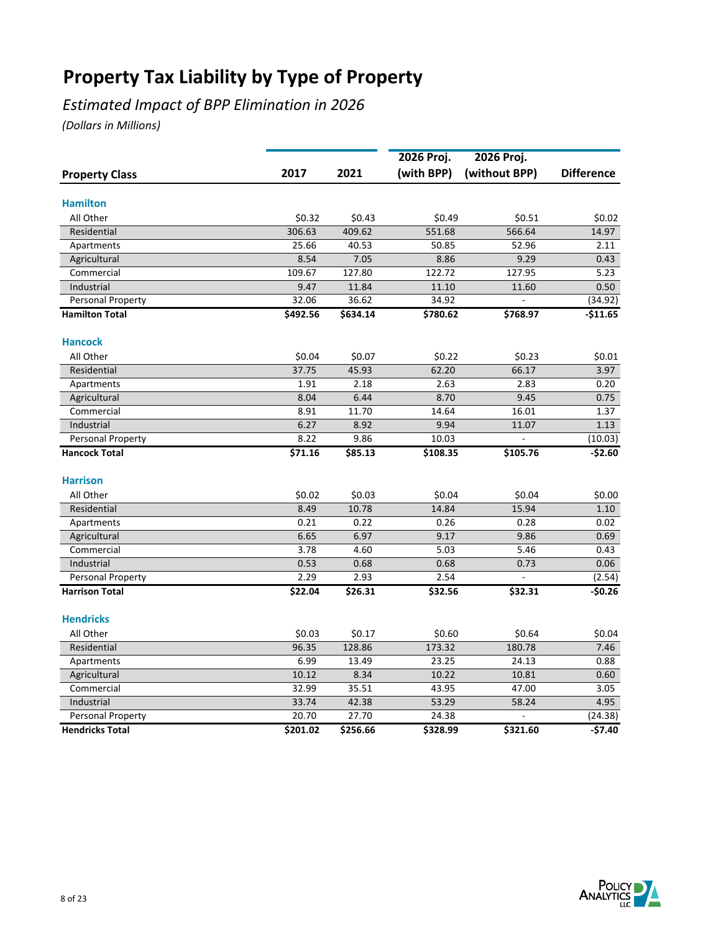## *Estimated Impact of BPP Elimination in 2026*

|                        |                 |                 | 2026 Proj.   | 2026 Proj.      |                   |
|------------------------|-----------------|-----------------|--------------|-----------------|-------------------|
| <b>Property Class</b>  | 2017            | 2021            | (with BPP)   | (without BPP)   | <b>Difference</b> |
| <b>Hamilton</b>        |                 |                 |              |                 |                   |
| All Other              | \$0.32          | \$0.43          | \$0.49       | \$0.51          | \$0.02            |
| Residential            | 306.63          | 409.62          | 551.68       | 566.64          | 14.97             |
| Apartments             | 25.66           | 40.53           | 50.85        | 52.96           | 2.11              |
| Agricultural           | 8.54            | 7.05            | 8.86         | 9.29            | 0.43              |
| Commercial             | 109.67          | 127.80          | 122.72       | 127.95          | 5.23              |
| Industrial             | 9.47            | 11.84           | 11.10        | 11.60           | 0.50              |
| Personal Property      | 32.06           | 36.62           | 34.92        | $\overline{a}$  | (34.92)           |
| <b>Hamilton Total</b>  | \$492.56        | \$634.14        | \$780.62     | \$768.97        | $-$11.65$         |
| <b>Hancock</b>         |                 |                 |              |                 |                   |
| All Other              |                 |                 |              |                 |                   |
|                        | \$0.04<br>37.75 | \$0.07<br>45.93 | \$0.22       | \$0.23<br>66.17 | \$0.01            |
| Residential            |                 |                 | 62.20        |                 | 3.97              |
| Apartments             | 1.91            | 2.18<br>6.44    | 2.63<br>8.70 | 2.83            | 0.20              |
| Agricultural           | 8.04            |                 |              | 9.45            | 0.75              |
| Commercial             | 8.91            | 11.70<br>8.92   | 14.64        | 16.01           | 1.37              |
| Industrial             | 6.27            |                 | 9.94         | 11.07           | 1.13              |
| Personal Property      | 8.22            | 9.86            | 10.03        |                 | (10.03)           |
| <b>Hancock Total</b>   | \$71.16         | \$85.13         | \$108.35     | \$105.76        | $-$2.60$          |
| <b>Harrison</b>        |                 |                 |              |                 |                   |
| All Other              | \$0.02          | \$0.03          | \$0.04       | \$0.04          | \$0.00            |
| Residential            | 8.49            | 10.78           | 14.84        | 15.94           | 1.10              |
| Apartments             | 0.21            | 0.22            | 0.26         | 0.28            | 0.02              |
| Agricultural           | 6.65            | 6.97            | 9.17         | 9.86            | 0.69              |
| Commercial             | 3.78            | 4.60            | 5.03         | 5.46            | 0.43              |
| Industrial             | 0.53            | 0.68            | 0.68         | 0.73            | 0.06              |
| Personal Property      | 2.29            | 2.93            | 2.54         |                 | (2.54)            |
| <b>Harrison Total</b>  | \$22.04         | \$26.31         | \$32.56      | \$32.31         | $-50.26$          |
| <b>Hendricks</b>       |                 |                 |              |                 |                   |
| All Other              | \$0.03          | \$0.17          | \$0.60       | \$0.64          | \$0.04            |
| Residential            | 96.35           | 128.86          | 173.32       | 180.78          | 7.46              |
| Apartments             | 6.99            | 13.49           | 23.25        | 24.13           | 0.88              |
| Agricultural           | 10.12           | 8.34            | 10.22        | 10.81           | 0.60              |
| Commercial             | 32.99           | 35.51           | 43.95        | 47.00           | 3.05              |
| Industrial             | 33.74           | 42.38           | 53.29        | 58.24           | 4.95              |
| Personal Property      | 20.70           | 27.70           | 24.38        | ÷,              | (24.38)           |
| <b>Hendricks Total</b> | \$201.02        | \$256.66        | \$328.99     | \$321.60        | -\$7.40           |

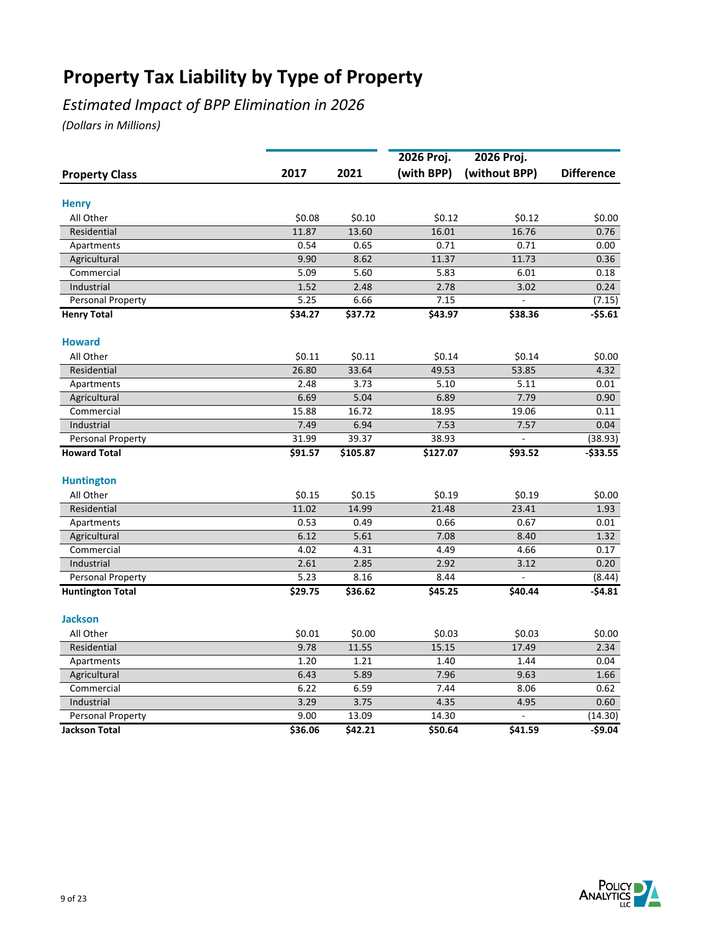## *Estimated Impact of BPP Elimination in 2026*

|                            |              |              | 2026 Proj.   | 2026 Proj.    |                   |
|----------------------------|--------------|--------------|--------------|---------------|-------------------|
| <b>Property Class</b>      | 2017         | 2021         | (with BPP)   | (without BPP) | <b>Difference</b> |
| <b>Henry</b>               |              |              |              |               |                   |
| All Other                  | \$0.08       | \$0.10       | \$0.12       | \$0.12        | \$0.00            |
| Residential                | 11.87        | 13.60        | 16.01        | 16.76         | 0.76              |
| Apartments                 | 0.54         | 0.65         | 0.71         | 0.71          | 0.00              |
| Agricultural               | 9.90         | 8.62         | 11.37        | 11.73         | 0.36              |
| Commercial                 | 5.09         | 5.60         | 5.83         | 6.01          | 0.18              |
| Industrial                 | 1.52         | 2.48         | 2.78         | 3.02          | 0.24              |
| Personal Property          | 5.25         | 6.66         | 7.15         |               | (7.15)            |
| <b>Henry Total</b>         | \$34.27      | \$37.72      | \$43.97      | \$38.36       | $-55.61$          |
|                            |              |              |              |               |                   |
| <b>Howard</b>              |              |              |              |               |                   |
| All Other                  | \$0.11       | \$0.11       | \$0.14       | \$0.14        | \$0.00            |
| Residential                | 26.80        | 33.64        | 49.53        | 53.85         | 4.32              |
| Apartments                 | 2.48         | 3.73         | 5.10         | 5.11          | 0.01              |
| Agricultural               | 6.69         | 5.04         | 6.89         | 7.79          | 0.90              |
| Commercial                 | 15.88        | 16.72        | 18.95        | 19.06         | 0.11              |
| Industrial                 | 7.49         | 6.94         | 7.53         | 7.57          | 0.04              |
| Personal Property          | 31.99        | 39.37        | 38.93        |               | (38.93)           |
| <b>Howard Total</b>        | \$91.57      | \$105.87     | \$127.07     | \$93.52       | -\$33.55          |
| <b>Huntington</b>          |              |              |              |               |                   |
| All Other                  | \$0.15       | \$0.15       | \$0.19       | \$0.19        | \$0.00            |
| Residential                | 11.02        | 14.99        | 21.48        | 23.41         | 1.93              |
| Apartments                 | 0.53         | 0.49         | 0.66         | 0.67          | 0.01              |
| Agricultural               | 6.12         | 5.61         | 7.08         | 8.40          | 1.32              |
| Commercial                 | 4.02         | 4.31         | 4.49         | 4.66          | 0.17              |
| Industrial                 | 2.61         | 2.85         | 2.92         | 3.12          | 0.20              |
| Personal Property          | 5.23         | 8.16         | 8.44         |               | (8.44)            |
| <b>Huntington Total</b>    | \$29.75      | \$36.62      | \$45.25      | \$40.44       | $-54.81$          |
| <b>Jackson</b>             |              |              |              |               |                   |
| All Other                  | \$0.01       | \$0.00       | \$0.03       | \$0.03        | \$0.00            |
| Residential                | 9.78         | 11.55        | 15.15        | 17.49         | 2.34              |
| Apartments                 | 1.20         | 1.21         | 1.40         | 1.44          | 0.04              |
|                            |              |              |              |               |                   |
| Agricultural<br>Commercial | 6.43<br>6.22 | 5.89<br>6.59 | 7.96<br>7.44 | 9.63<br>8.06  | 1.66<br>0.62      |
|                            |              | 3.75         | 4.35         |               |                   |
| Industrial                 | 3.29<br>9.00 | 13.09        | 14.30        | 4.95          | 0.60              |
| Personal Property          |              |              |              |               | (14.30)           |
| <b>Jackson Total</b>       | \$36.06      | \$42.21      | \$50.64      | \$41.59       | $-$9.04$          |

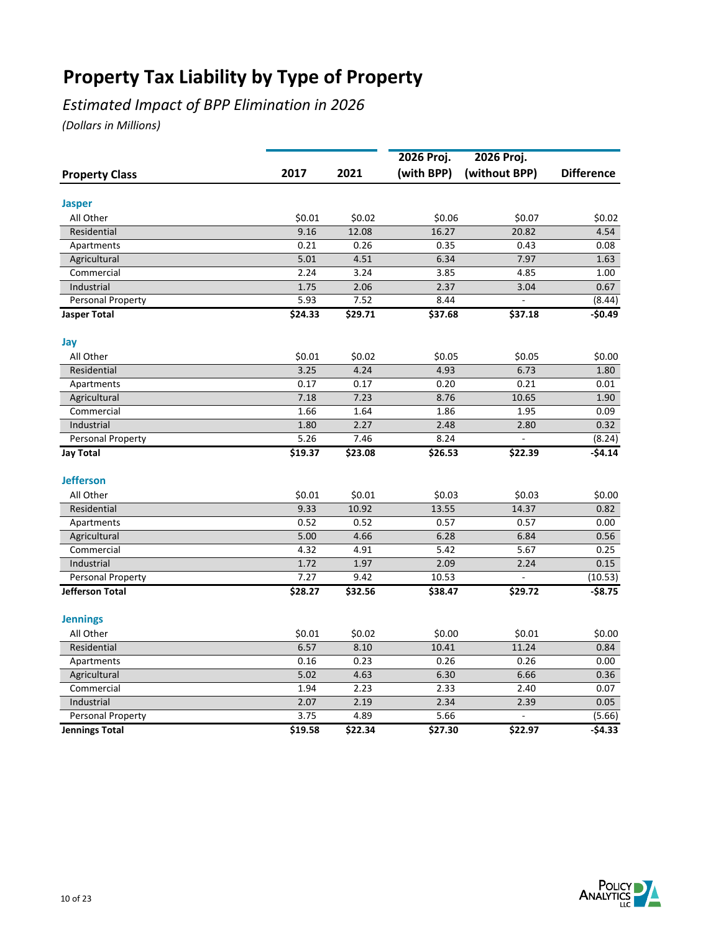## *Estimated Impact of BPP Elimination in 2026*

|                       |         |         | 2026 Proj. | 2026 Proj.    |                   |
|-----------------------|---------|---------|------------|---------------|-------------------|
| <b>Property Class</b> | 2017    | 2021    | (with BPP) | (without BPP) | <b>Difference</b> |
| <b>Jasper</b>         |         |         |            |               |                   |
| All Other             | \$0.01  | \$0.02  | \$0.06     | \$0.07        | \$0.02            |
| Residential           | 9.16    | 12.08   | 16.27      | 20.82         | 4.54              |
| Apartments            | 0.21    | 0.26    | 0.35       | 0.43          | 0.08              |
| Agricultural          | 5.01    | 4.51    | 6.34       | 7.97          | 1.63              |
| Commercial            | 2.24    | 3.24    | 3.85       | 4.85          | 1.00              |
| Industrial            | 1.75    | 2.06    | 2.37       | 3.04          | 0.67              |
| Personal Property     | 5.93    | 7.52    | 8.44       |               | (8.44)            |
| <b>Jasper Total</b>   | \$24.33 | \$29.71 | \$37.68    | \$37.18       | $-50.49$          |
| Jay                   |         |         |            |               |                   |
| All Other             | \$0.01  | \$0.02  | \$0.05     | \$0.05        | \$0.00            |
| Residential           | 3.25    | 4.24    | 4.93       | 6.73          | 1.80              |
| Apartments            | 0.17    | 0.17    | 0.20       | 0.21          | 0.01              |
| Agricultural          | 7.18    | 7.23    | 8.76       | 10.65         | 1.90              |
| Commercial            | 1.66    | 1.64    | 1.86       | 1.95          | 0.09              |
| Industrial            | 1.80    | 2.27    | 2.48       | 2.80          | 0.32              |
| Personal Property     | 5.26    | 7.46    | 8.24       |               | (8.24)            |
| <b>Jay Total</b>      | \$19.37 | \$23.08 | \$26.53    | \$22.39       | $-$4.14$          |
| <b>Jefferson</b>      |         |         |            |               |                   |
| All Other             | \$0.01  | \$0.01  | \$0.03     | \$0.03        | \$0.00            |
| Residential           | 9.33    | 10.92   | 13.55      | 14.37         | 0.82              |
| Apartments            | 0.52    | 0.52    | 0.57       | 0.57          | 0.00              |
| Agricultural          | 5.00    | 4.66    | 6.28       | 6.84          | 0.56              |
| Commercial            | 4.32    | 4.91    | 5.42       | 5.67          | 0.25              |
| Industrial            | 1.72    | 1.97    | 2.09       | 2.24          | 0.15              |
| Personal Property     | 7.27    | 9.42    | 10.53      |               | (10.53)           |
| Jefferson Total       | \$28.27 | \$32.56 | \$38.47    | \$29.72       | -\$8.75           |
| <b>Jennings</b>       |         |         |            |               |                   |
| All Other             | \$0.01  | \$0.02  | \$0.00     | \$0.01        | \$0.00            |
| Residential           | 6.57    | 8.10    | 10.41      | 11.24         | 0.84              |
| Apartments            | 0.16    | 0.23    | 0.26       | 0.26          | 0.00              |
| Agricultural          | 5.02    | 4.63    | 6.30       | 6.66          | 0.36              |
| Commercial            | 1.94    | 2.23    | 2.33       | 2.40          | 0.07              |
| Industrial            | 2.07    | 2.19    | 2.34       | 2.39          | 0.05              |
| Personal Property     | 3.75    | 4.89    | 5.66       |               | (5.66)            |
| <b>Jennings Total</b> | \$19.58 | \$22.34 | \$27.30    | \$22.97       | $-54.33$          |

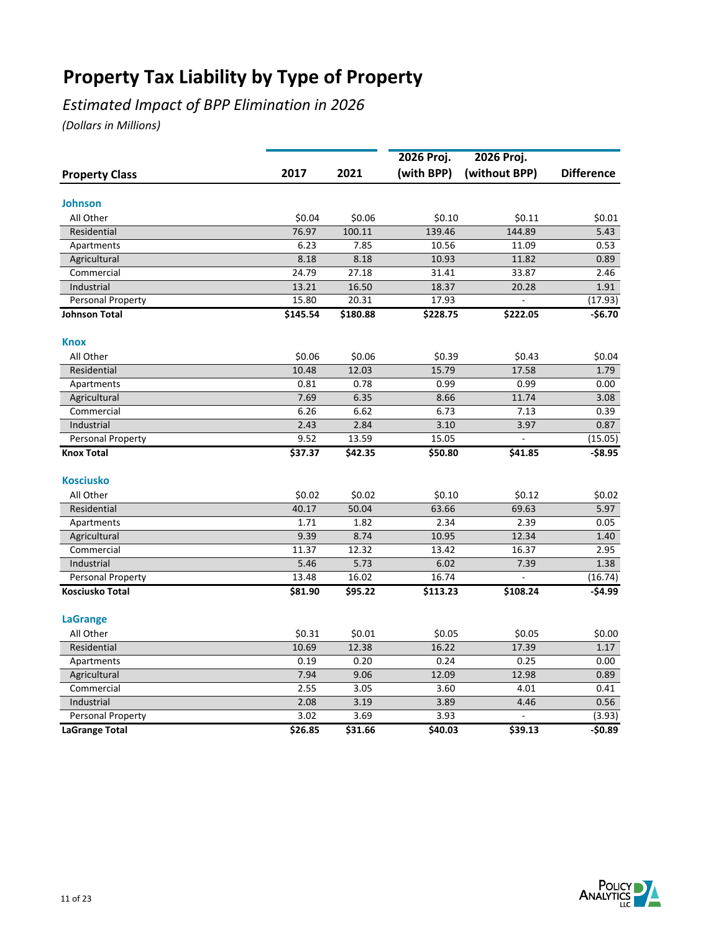## *Estimated Impact of BPP Elimination in 2026*

|                          |          |          | 2026 Proj. | 2026 Proj.    |                   |
|--------------------------|----------|----------|------------|---------------|-------------------|
| <b>Property Class</b>    | 2017     | 2021     | (with BPP) | (without BPP) | <b>Difference</b> |
| Johnson                  |          |          |            |               |                   |
| All Other                | \$0.04   | \$0.06   | \$0.10     | \$0.11        | \$0.01            |
| Residential              | 76.97    | 100.11   | 139.46     | 144.89        | 5.43              |
| Apartments               | 6.23     | 7.85     | 10.56      | 11.09         | 0.53              |
| Agricultural             | 8.18     | 8.18     | 10.93      | 11.82         | 0.89              |
| Commercial               | 24.79    | 27.18    | 31.41      | 33.87         | 2.46              |
| Industrial               | 13.21    | 16.50    | 18.37      | 20.28         | 1.91              |
| Personal Property        | 15.80    | 20.31    | 17.93      |               | (17.93)           |
| <b>Johnson Total</b>     | \$145.54 | \$180.88 | \$228.75   | \$222.05      | $-56.70$          |
| Knox                     |          |          |            |               |                   |
| All Other                | \$0.06   | \$0.06   | \$0.39     | \$0.43        | \$0.04            |
| Residential              | 10.48    | 12.03    | 15.79      | 17.58         | 1.79              |
| Apartments               | 0.81     | 0.78     | 0.99       | 0.99          | 0.00              |
| Agricultural             | 7.69     | 6.35     | 8.66       | 11.74         | 3.08              |
| Commercial               | 6.26     | 6.62     | 6.73       | 7.13          | 0.39              |
| Industrial               | 2.43     | 2.84     | 3.10       | 3.97          | 0.87              |
| Personal Property        | 9.52     | 13.59    | 15.05      |               | (15.05)           |
| <b>Knox Total</b>        | \$37.37  | \$42.35  | \$50.80    | \$41.85       | -\$8.95           |
| <b>Kosciusko</b>         |          |          |            |               |                   |
| All Other                | \$0.02   | \$0.02   | \$0.10     | \$0.12        | \$0.02            |
| Residential              | 40.17    | 50.04    | 63.66      | 69.63         | 5.97              |
| Apartments               | 1.71     | 1.82     | 2.34       | 2.39          | 0.05              |
| Agricultural             | 9.39     | 8.74     | 10.95      | 12.34         | 1.40              |
| Commercial               | 11.37    | 12.32    | 13.42      | 16.37         | 2.95              |
| Industrial               | 5.46     | 5.73     | 6.02       | 7.39          | 1.38              |
| <b>Personal Property</b> | 13.48    | 16.02    | 16.74      |               | (16.74)           |
| Kosciusko Total          | \$81.90  | \$95.22  | \$113.23   | \$108.24      | -\$4.99           |
| <b>LaGrange</b>          |          |          |            |               |                   |
| All Other                | \$0.31   | \$0.01   | \$0.05     | \$0.05        | \$0.00            |
| Residential              | 10.69    | 12.38    | 16.22      | 17.39         | 1.17              |
| Apartments               | 0.19     | 0.20     | 0.24       | 0.25          | 0.00              |
| Agricultural             | 7.94     | 9.06     | 12.09      | 12.98         | 0.89              |
| Commercial               | 2.55     | 3.05     | 3.60       | 4.01          | 0.41              |
| Industrial               | 2.08     | 3.19     | 3.89       | 4.46          | 0.56              |
| Personal Property        | 3.02     | 3.69     | 3.93       |               | (3.93)            |
| <b>LaGrange Total</b>    | \$26.85  | \$31.66  | \$40.03    | \$39.13       | $-50.89$          |

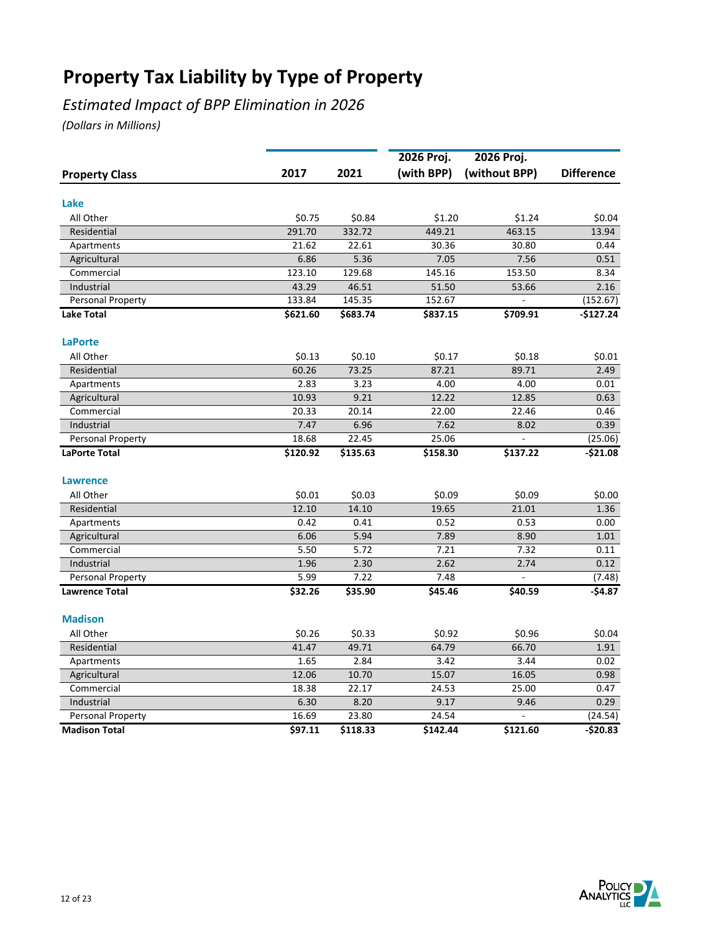## *Estimated Impact of BPP Elimination in 2026*

|                       |          |          | 2026 Proj. | 2026 Proj.     |                   |
|-----------------------|----------|----------|------------|----------------|-------------------|
| <b>Property Class</b> | 2017     | 2021     | (with BPP) | (without BPP)  | <b>Difference</b> |
| Lake                  |          |          |            |                |                   |
| All Other             | \$0.75   | \$0.84   | \$1.20     | \$1.24         | \$0.04            |
| Residential           | 291.70   | 332.72   | 449.21     | 463.15         | 13.94             |
| Apartments            | 21.62    | 22.61    | 30.36      | 30.80          | 0.44              |
| Agricultural          | 6.86     | 5.36     | 7.05       | 7.56           | 0.51              |
| Commercial            | 123.10   | 129.68   | 145.16     | 153.50         | 8.34              |
| Industrial            | 43.29    | 46.51    | 51.50      | 53.66          | 2.16              |
| Personal Property     | 133.84   | 145.35   | 152.67     | $\overline{a}$ | (152.67)          |
| <b>Lake Total</b>     | \$621.60 | \$683.74 | \$837.15   | \$709.91       | $-$127.24$        |
| <b>LaPorte</b>        |          |          |            |                |                   |
| All Other             | \$0.13   | \$0.10   | \$0.17     | \$0.18         | \$0.01            |
| Residential           | 60.26    | 73.25    | 87.21      | 89.71          | 2.49              |
| Apartments            | 2.83     | 3.23     | 4.00       | 4.00           | 0.01              |
| Agricultural          | 10.93    | 9.21     | 12.22      | 12.85          | 0.63              |
| Commercial            | 20.33    | 20.14    | 22.00      | 22.46          | 0.46              |
| Industrial            | 7.47     | 6.96     | 7.62       | 8.02           | 0.39              |
| Personal Property     | 18.68    | 22.45    | 25.06      | ÷,             | (25.06)           |
| <b>LaPorte Total</b>  | \$120.92 | \$135.63 | \$158.30   | \$137.22       | $-$21.08$         |
| <b>Lawrence</b>       |          |          |            |                |                   |
| All Other             | \$0.01   | \$0.03   | \$0.09     | \$0.09         | \$0.00            |
| Residential           | 12.10    | 14.10    | 19.65      | 21.01          | 1.36              |
| Apartments            | 0.42     | 0.41     | 0.52       | 0.53           | 0.00              |
| Agricultural          | 6.06     | 5.94     | 7.89       | 8.90           | 1.01              |
| Commercial            | 5.50     | 5.72     | 7.21       | 7.32           | 0.11              |
| Industrial            | 1.96     | 2.30     | 2.62       | 2.74           | 0.12              |
| Personal Property     | 5.99     | 7.22     | 7.48       |                | (7.48)            |
| <b>Lawrence Total</b> | \$32.26  | \$35.90  | \$45.46    | \$40.59        | $-$4.87$          |
| <b>Madison</b>        |          |          |            |                |                   |
| All Other             | \$0.26   | \$0.33   | \$0.92     | \$0.96         | \$0.04            |
| Residential           | 41.47    | 49.71    | 64.79      | 66.70          | 1.91              |
| Apartments            | 1.65     | 2.84     | 3.42       | 3.44           | 0.02              |
| Agricultural          | 12.06    | 10.70    | 15.07      | 16.05          | 0.98              |
| Commercial            | 18.38    | 22.17    | 24.53      | 25.00          | 0.47              |
| Industrial            | 6.30     | 8.20     | 9.17       | 9.46           | 0.29              |
| Personal Property     | 16.69    | 23.80    | 24.54      |                | (24.54)           |
| <b>Madison Total</b>  | \$97.11  | \$118.33 | \$142.44   | \$121.60       | $-520.83$         |

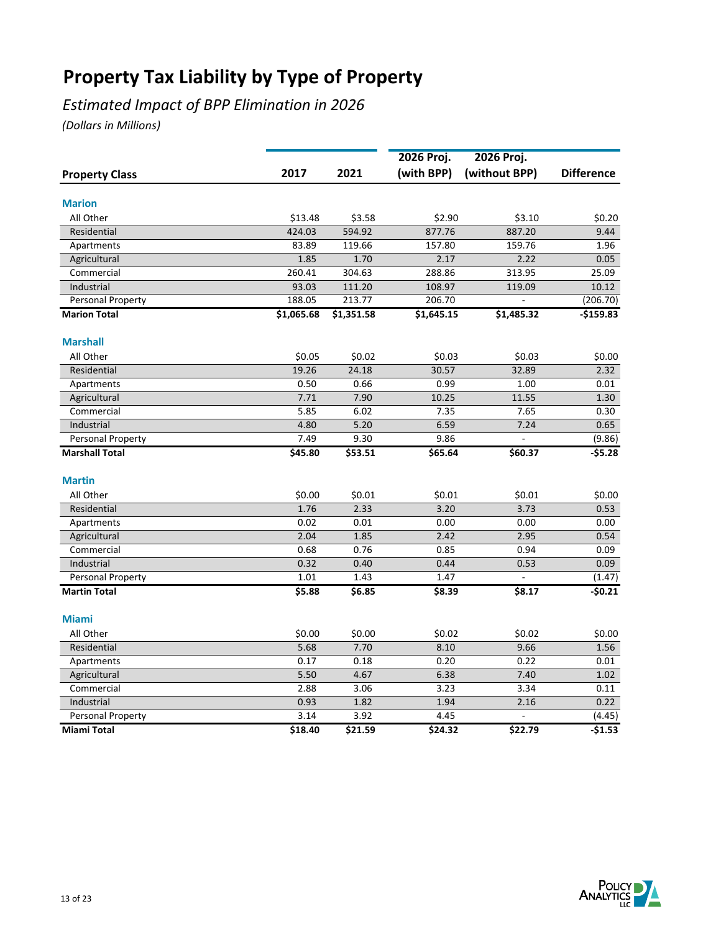## *Estimated Impact of BPP Elimination in 2026*

|                       |            |            | 2026 Proj. | 2026 Proj.    |                   |
|-----------------------|------------|------------|------------|---------------|-------------------|
| <b>Property Class</b> | 2017       | 2021       | (with BPP) | (without BPP) | <b>Difference</b> |
| <b>Marion</b>         |            |            |            |               |                   |
| All Other             | \$13.48    | \$3.58     | \$2.90     | \$3.10        | \$0.20            |
| Residential           | 424.03     | 594.92     | 877.76     | 887.20        | 9.44              |
| Apartments            | 83.89      | 119.66     | 157.80     | 159.76        | 1.96              |
| Agricultural          | 1.85       | 1.70       | 2.17       | 2.22          | 0.05              |
| Commercial            | 260.41     | 304.63     | 288.86     | 313.95        | 25.09             |
| Industrial            | 93.03      | 111.20     | 108.97     | 119.09        | 10.12             |
| Personal Property     | 188.05     | 213.77     | 206.70     |               | (206.70)          |
| <b>Marion Total</b>   | \$1,065.68 | \$1,351.58 | \$1,645.15 | \$1,485.32    | $-$159.83$        |
| <b>Marshall</b>       |            |            |            |               |                   |
| All Other             | \$0.05     | \$0.02     | \$0.03     | \$0.03        | \$0.00            |
| Residential           | 19.26      | 24.18      | 30.57      | 32.89         | 2.32              |
| Apartments            | 0.50       | 0.66       | 0.99       | 1.00          | 0.01              |
| Agricultural          | 7.71       | 7.90       | 10.25      | 11.55         | 1.30              |
| Commercial            | 5.85       | 6.02       | 7.35       | 7.65          | 0.30              |
| Industrial            | 4.80       | 5.20       | 6.59       | 7.24          | 0.65              |
| Personal Property     | 7.49       | 9.30       | 9.86       |               | (9.86)            |
| <b>Marshall Total</b> | \$45.80    | \$53.51    | \$65.64    | \$60.37       | $-55.28$          |
| <b>Martin</b>         |            |            |            |               |                   |
| All Other             | \$0.00     | \$0.01     | \$0.01     | \$0.01        | \$0.00            |
| Residential           | 1.76       | 2.33       | 3.20       | 3.73          | 0.53              |
| Apartments            | 0.02       | 0.01       | 0.00       | 0.00          | 0.00              |
| Agricultural          | 2.04       | 1.85       | 2.42       | 2.95          | 0.54              |
| Commercial            | 0.68       | 0.76       | 0.85       | 0.94          | 0.09              |
| Industrial            | 0.32       | 0.40       | 0.44       | 0.53          | 0.09              |
| Personal Property     | 1.01       | 1.43       | 1.47       |               | (1.47)            |
| <b>Martin Total</b>   | \$5.88     | \$6.85     | \$8.39     | \$8.17        | $-50.21$          |
| <b>Miami</b>          |            |            |            |               |                   |
| All Other             | \$0.00     | \$0.00     | \$0.02     | \$0.02        | \$0.00            |
| Residential           | 5.68       | 7.70       | 8.10       | 9.66          | 1.56              |
| Apartments            | 0.17       | 0.18       | 0.20       | 0.22          | 0.01              |
| Agricultural          | 5.50       | 4.67       | 6.38       | 7.40          | 1.02              |
| Commercial            | 2.88       | 3.06       | 3.23       | 3.34          | 0.11              |
| Industrial            | 0.93       | 1.82       | 1.94       | 2.16          | 0.22              |
| Personal Property     | 3.14       | 3.92       | 4.45       |               | (4.45)            |
| <b>Miami Total</b>    | \$18.40    | \$21.59    | \$24.32    | \$22.79       | $-51.53$          |

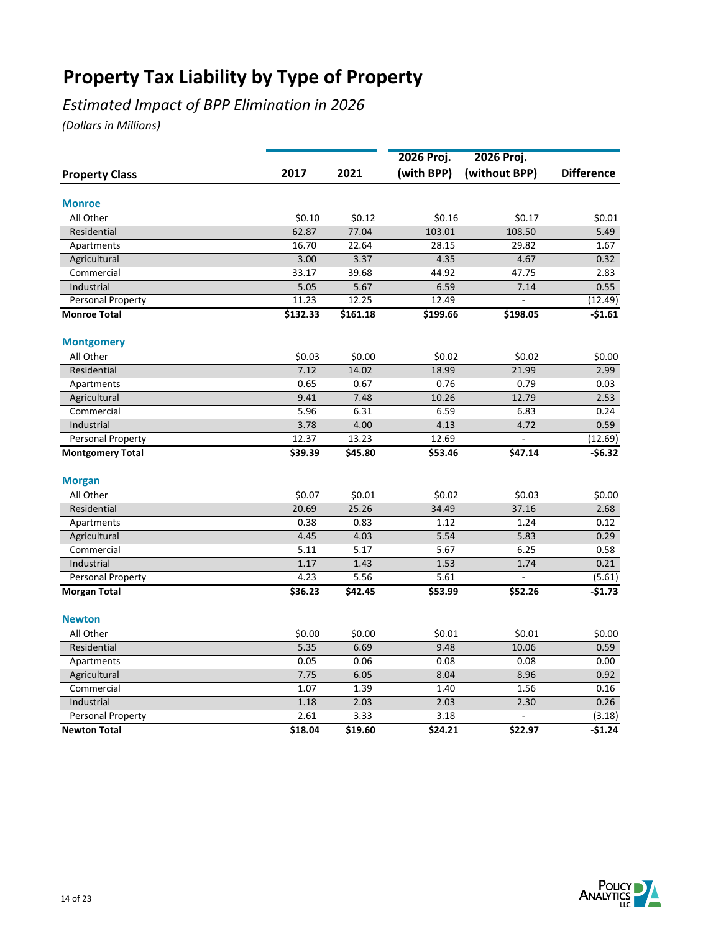## *Estimated Impact of BPP Elimination in 2026*

|                         |          |          | 2026 Proj. | 2026 Proj.     |                   |
|-------------------------|----------|----------|------------|----------------|-------------------|
| <b>Property Class</b>   | 2017     | 2021     | (with BPP) | (without BPP)  | <b>Difference</b> |
| <b>Monroe</b>           |          |          |            |                |                   |
| All Other               | \$0.10   | \$0.12   | \$0.16     | \$0.17         | \$0.01            |
| Residential             | 62.87    | 77.04    | 103.01     | 108.50         | 5.49              |
| Apartments              | 16.70    | 22.64    | 28.15      | 29.82          | 1.67              |
| Agricultural            | 3.00     | 3.37     | 4.35       | 4.67           | 0.32              |
| Commercial              | 33.17    | 39.68    | 44.92      | 47.75          | 2.83              |
| Industrial              | 5.05     | 5.67     | 6.59       | 7.14           | 0.55              |
| Personal Property       | 11.23    | 12.25    | 12.49      |                | (12.49)           |
| <b>Monroe Total</b>     | \$132.33 | \$161.18 | \$199.66   | \$198.05       | $-51.61$          |
| <b>Montgomery</b>       |          |          |            |                |                   |
| All Other               | \$0.03   | \$0.00   | \$0.02     | \$0.02         | \$0.00            |
| Residential             | 7.12     | 14.02    | 18.99      | 21.99          | 2.99              |
| Apartments              | 0.65     | 0.67     | 0.76       | 0.79           | 0.03              |
| Agricultural            | 9.41     | 7.48     | 10.26      | 12.79          | 2.53              |
| Commercial              | 5.96     | 6.31     | 6.59       | 6.83           | 0.24              |
| Industrial              | 3.78     | 4.00     | 4.13       | 4.72           | 0.59              |
| Personal Property       | 12.37    | 13.23    | 12.69      | $\blacksquare$ | (12.69)           |
| <b>Montgomery Total</b> | \$39.39  | \$45.80  | \$53.46    | \$47.14        | $-$6.32$          |
| <b>Morgan</b>           |          |          |            |                |                   |
| All Other               | \$0.07   | \$0.01   | \$0.02     | \$0.03         | \$0.00            |
| Residential             | 20.69    | 25.26    | 34.49      | 37.16          | 2.68              |
| Apartments              | 0.38     | 0.83     | 1.12       | 1.24           | 0.12              |
| Agricultural            | 4.45     | 4.03     | 5.54       | 5.83           | 0.29              |
| Commercial              | 5.11     | 5.17     | 5.67       | 6.25           | 0.58              |
| Industrial              | 1.17     | 1.43     | 1.53       | 1.74           | 0.21              |
| Personal Property       | 4.23     | 5.56     | 5.61       |                | (5.61)            |
| <b>Morgan Total</b>     | \$36.23  | \$42.45  | \$53.99    | \$52.26        | $-51.73$          |
| <b>Newton</b>           |          |          |            |                |                   |
| All Other               | \$0.00   | \$0.00   | \$0.01     | \$0.01         | \$0.00            |
| Residential             | 5.35     | 6.69     | 9.48       | 10.06          | 0.59              |
| Apartments              | 0.05     | 0.06     | 0.08       | 0.08           | 0.00              |
| Agricultural            | 7.75     | 6.05     | 8.04       | 8.96           | 0.92              |
| Commercial              | 1.07     | 1.39     | 1.40       | 1.56           | 0.16              |
| Industrial              | 1.18     | 2.03     | 2.03       | 2.30           | 0.26              |
| Personal Property       | 2.61     | 3.33     | 3.18       |                | (3.18)            |
| <b>Newton Total</b>     | \$18.04  | \$19.60  | \$24.21    | \$22.97        | $-$1.24$          |

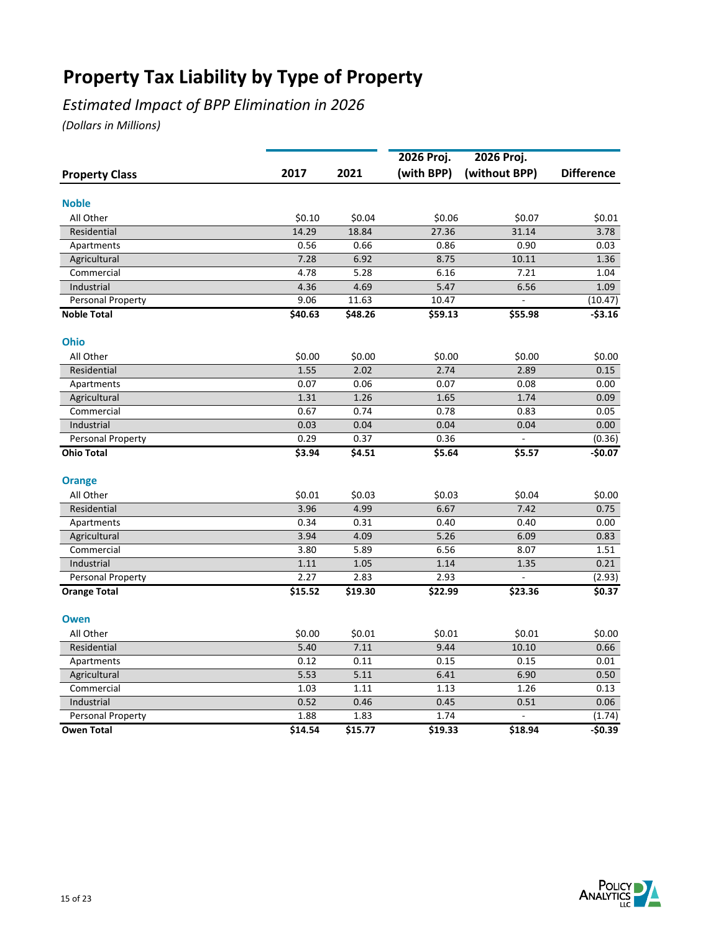## *Estimated Impact of BPP Elimination in 2026*

|                       |         |         | 2026 Proj. | 2026 Proj.    |                   |
|-----------------------|---------|---------|------------|---------------|-------------------|
| <b>Property Class</b> | 2017    | 2021    | (with BPP) | (without BPP) | <b>Difference</b> |
| <b>Noble</b>          |         |         |            |               |                   |
| All Other             | \$0.10  | \$0.04  | \$0.06     | \$0.07        | \$0.01            |
| Residential           | 14.29   | 18.84   | 27.36      | 31.14         | 3.78              |
| Apartments            | 0.56    | 0.66    | 0.86       | 0.90          | 0.03              |
| Agricultural          | 7.28    | 6.92    | 8.75       | 10.11         | 1.36              |
| Commercial            | 4.78    | 5.28    | 6.16       | 7.21          | 1.04              |
| Industrial            | 4.36    | 4.69    | 5.47       | 6.56          | 1.09              |
| Personal Property     | 9.06    | 11.63   | 10.47      |               | (10.47)           |
| <b>Noble Total</b>    | \$40.63 | \$48.26 | \$59.13    | \$55.98       | $-$3.16$          |
| <b>Ohio</b>           |         |         |            |               |                   |
| All Other             | \$0.00  | \$0.00  | \$0.00     | \$0.00        | \$0.00            |
| Residential           | 1.55    | 2.02    | 2.74       | 2.89          | 0.15              |
| Apartments            | 0.07    | 0.06    | 0.07       | 0.08          | 0.00              |
| Agricultural          | 1.31    | 1.26    | 1.65       | 1.74          | 0.09              |
| Commercial            | 0.67    | 0.74    | 0.78       | 0.83          | 0.05              |
| Industrial            | 0.03    | 0.04    | 0.04       | 0.04          | 0.00              |
| Personal Property     | 0.29    | 0.37    | 0.36       | ÷             | (0.36)            |
| <b>Ohio Total</b>     | \$3.94  | \$4.51  | \$5.64     | \$5.57        | $-$0.07$          |
| <b>Orange</b>         |         |         |            |               |                   |
| All Other             | \$0.01  | \$0.03  | \$0.03     | \$0.04        | \$0.00            |
| Residential           | 3.96    | 4.99    | 6.67       | 7.42          | 0.75              |
| Apartments            | 0.34    | 0.31    | 0.40       | 0.40          | 0.00              |
| Agricultural          | 3.94    | 4.09    | 5.26       | 6.09          | 0.83              |
| Commercial            | 3.80    | 5.89    | 6.56       | 8.07          | 1.51              |
| Industrial            | 1.11    | 1.05    | 1.14       | 1.35          | 0.21              |
| Personal Property     | 2.27    | 2.83    | 2.93       |               | (2.93)            |
| <b>Orange Total</b>   | \$15.52 | \$19.30 | \$22.99    | \$23.36       | \$0.37            |
| <b>Owen</b>           |         |         |            |               |                   |
| All Other             | \$0.00  | \$0.01  | \$0.01     | \$0.01        | \$0.00            |
| Residential           | 5.40    | 7.11    | 9.44       | 10.10         | 0.66              |
| Apartments            | 0.12    | 0.11    | 0.15       | 0.15          | 0.01              |
| Agricultural          | 5.53    | 5.11    | 6.41       | 6.90          | 0.50              |
| Commercial            | 1.03    | 1.11    | 1.13       | 1.26          | 0.13              |
| Industrial            | 0.52    | 0.46    | 0.45       | 0.51          | 0.06              |
| Personal Property     | 1.88    | 1.83    | 1.74       |               | (1.74)            |
| <b>Owen Total</b>     | \$14.54 | \$15.77 | 519.33     | \$18.94       | $-50.39$          |

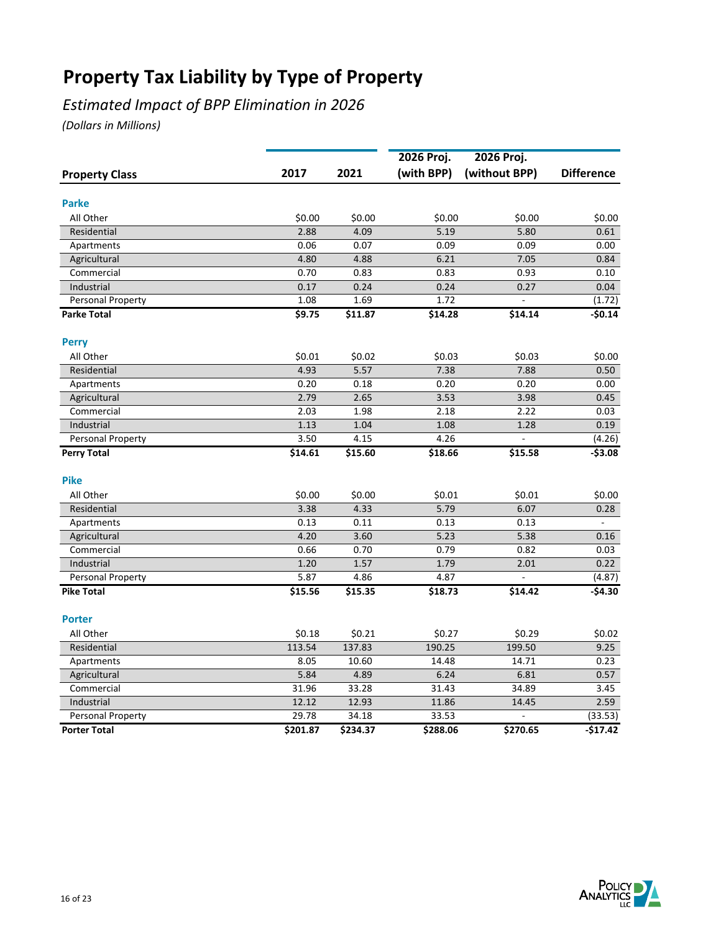## *Estimated Impact of BPP Elimination in 2026*

|                       |          |          | 2026 Proj. | 2026 Proj.    |                   |
|-----------------------|----------|----------|------------|---------------|-------------------|
| <b>Property Class</b> | 2017     | 2021     | (with BPP) | (without BPP) | <b>Difference</b> |
| <b>Parke</b>          |          |          |            |               |                   |
| All Other             | \$0.00   | \$0.00   | \$0.00     | \$0.00        | \$0.00            |
| Residential           | 2.88     | 4.09     | 5.19       | 5.80          | 0.61              |
| Apartments            | 0.06     | 0.07     | 0.09       | 0.09          | 0.00              |
| Agricultural          | 4.80     | 4.88     | 6.21       | 7.05          | 0.84              |
| Commercial            | 0.70     | 0.83     | 0.83       | 0.93          | 0.10              |
| Industrial            | 0.17     | 0.24     | 0.24       | 0.27          | 0.04              |
| Personal Property     | 1.08     | 1.69     | 1.72       |               | (1.72)            |
| <b>Parke Total</b>    | \$9.75   | \$11.87  | \$14.28    | \$14.14       | $-50.14$          |
| <b>Perry</b>          |          |          |            |               |                   |
| All Other             | \$0.01   | \$0.02   | \$0.03     | \$0.03        | \$0.00            |
| Residential           | 4.93     | 5.57     | 7.38       | 7.88          | 0.50              |
| Apartments            | 0.20     | 0.18     | 0.20       | 0.20          | 0.00              |
| Agricultural          | 2.79     | 2.65     | 3.53       | 3.98          | 0.45              |
| Commercial            | 2.03     | 1.98     | 2.18       | 2.22          | 0.03              |
| Industrial            | 1.13     | 1.04     | 1.08       | 1.28          | 0.19              |
| Personal Property     | 3.50     | 4.15     | 4.26       | Ĭ.            | (4.26)            |
| <b>Perry Total</b>    | \$14.61  | \$15.60  | \$18.66    | \$15.58       | $-$3.08$          |
| <b>Pike</b>           |          |          |            |               |                   |
| All Other             | \$0.00   | \$0.00   | \$0.01     | \$0.01        | \$0.00            |
| Residential           | 3.38     | 4.33     | 5.79       | 6.07          | 0.28              |
| Apartments            | 0.13     | 0.11     | 0.13       | 0.13          | $\blacksquare$    |
| Agricultural          | 4.20     | 3.60     | 5.23       | 5.38          | 0.16              |
| Commercial            | 0.66     | 0.70     | 0.79       | 0.82          | 0.03              |
| Industrial            | 1.20     | 1.57     | 1.79       | 2.01          | 0.22              |
| Personal Property     | 5.87     | 4.86     | 4.87       |               | (4.87)            |
| <b>Pike Total</b>     | \$15.56  | \$15.35  | \$18.73    | \$14.42       | $-$4.30$          |
| <b>Porter</b>         |          |          |            |               |                   |
| All Other             | \$0.18   | \$0.21   | \$0.27     | \$0.29        | \$0.02            |
| Residential           | 113.54   | 137.83   | 190.25     | 199.50        | 9.25              |
| Apartments            | 8.05     | 10.60    | 14.48      | 14.71         | 0.23              |
| Agricultural          | 5.84     | 4.89     | 6.24       | 6.81          | 0.57              |
| Commercial            | 31.96    | 33.28    | 31.43      | 34.89         | 3.45              |
| Industrial            | 12.12    | 12.93    | 11.86      | 14.45         | 2.59              |
| Personal Property     | 29.78    | 34.18    | 33.53      |               | (33.53)           |
| <b>Porter Total</b>   | \$201.87 | \$234.37 | \$288.06   | \$270.65      | $-517.42$         |

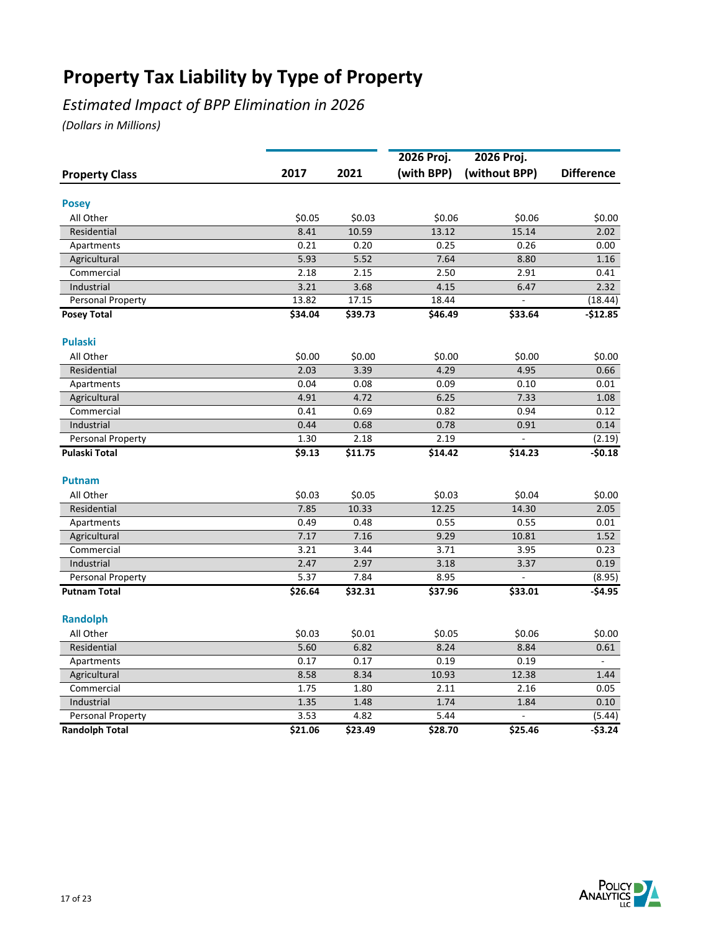## *Estimated Impact of BPP Elimination in 2026*

|                       |         |         | 2026 Proj. | 2026 Proj.     |                    |
|-----------------------|---------|---------|------------|----------------|--------------------|
| <b>Property Class</b> | 2017    | 2021    | (with BPP) | (without BPP)  | <b>Difference</b>  |
|                       |         |         |            |                |                    |
| <b>Posey</b>          |         |         |            |                |                    |
| All Other             | \$0.05  | \$0.03  | \$0.06     | \$0.06         | \$0.00             |
| Residential           | 8.41    | 10.59   | 13.12      | 15.14          | 2.02               |
| Apartments            | 0.21    | 0.20    | 0.25       | 0.26           | 0.00               |
| Agricultural          | 5.93    | 5.52    | 7.64       | 8.80           | 1.16               |
| Commercial            | 2.18    | 2.15    | 2.50       | 2.91           | 0.41               |
| Industrial            | 3.21    | 3.68    | 4.15       | 6.47           | 2.32               |
| Personal Property     | 13.82   | 17.15   | 18.44      | $\overline{a}$ | (18.44)            |
| <b>Posey Total</b>    | \$34.04 | \$39.73 | \$46.49    | \$33.64        | $-$12.85$          |
| <b>Pulaski</b>        |         |         |            |                |                    |
| All Other             | \$0.00  | \$0.00  | \$0.00     | \$0.00         | \$0.00             |
| Residential           | 2.03    | 3.39    | 4.29       | 4.95           | 0.66               |
| Apartments            | 0.04    | 0.08    | 0.09       | 0.10           | 0.01               |
| Agricultural          | 4.91    | 4.72    | 6.25       | 7.33           | 1.08               |
| Commercial            | 0.41    | 0.69    | 0.82       | 0.94           | 0.12               |
| Industrial            | 0.44    | 0.68    | 0.78       | 0.91           | 0.14               |
| Personal Property     | 1.30    | 2.18    | 2.19       |                | (2.19)             |
| <b>Pulaski Total</b>  | \$9.13  | \$11.75 | \$14.42    | \$14.23        | $-50.18$           |
| <b>Putnam</b>         |         |         |            |                |                    |
| All Other             | \$0.03  | \$0.05  | \$0.03     | \$0.04         | \$0.00             |
| Residential           | 7.85    | 10.33   | 12.25      | 14.30          | 2.05               |
| Apartments            | 0.49    | 0.48    | 0.55       | 0.55           | 0.01               |
| Agricultural          | 7.17    | 7.16    | 9.29       | 10.81          | 1.52               |
| Commercial            | 3.21    | 3.44    | 3.71       | 3.95           | 0.23               |
| Industrial            | 2.47    | 2.97    | 3.18       | 3.37           | 0.19               |
| Personal Property     | 5.37    | 7.84    | 8.95       |                | (8.95)             |
| <b>Putnam Total</b>   | \$26.64 | \$32.31 | \$37.96    | \$33.01        | -\$4.95            |
|                       |         |         |            |                |                    |
| <b>Randolph</b>       |         |         |            |                |                    |
| All Other             | \$0.03  | \$0.01  | \$0.05     | \$0.06         | \$0.00             |
| Residential           | 5.60    | 6.82    | 8.24       | 8.84           | 0.61               |
| Apartments            | 0.17    | 0.17    | 0.19       | 0.19           | $\bar{\mathbf{z}}$ |
| Agricultural          | 8.58    | 8.34    | 10.93      | 12.38          | 1.44               |
| Commercial            | 1.75    | 1.80    | 2.11       | 2.16           | 0.05               |
| Industrial            | 1.35    | 1.48    | 1.74       | 1.84           | 0.10               |
| Personal Property     | 3.53    | 4.82    | 5.44       |                | (5.44)             |
| <b>Randolph Total</b> | \$21.06 | \$23.49 | \$28.70    | \$25.46        | $-$ \$3.24         |

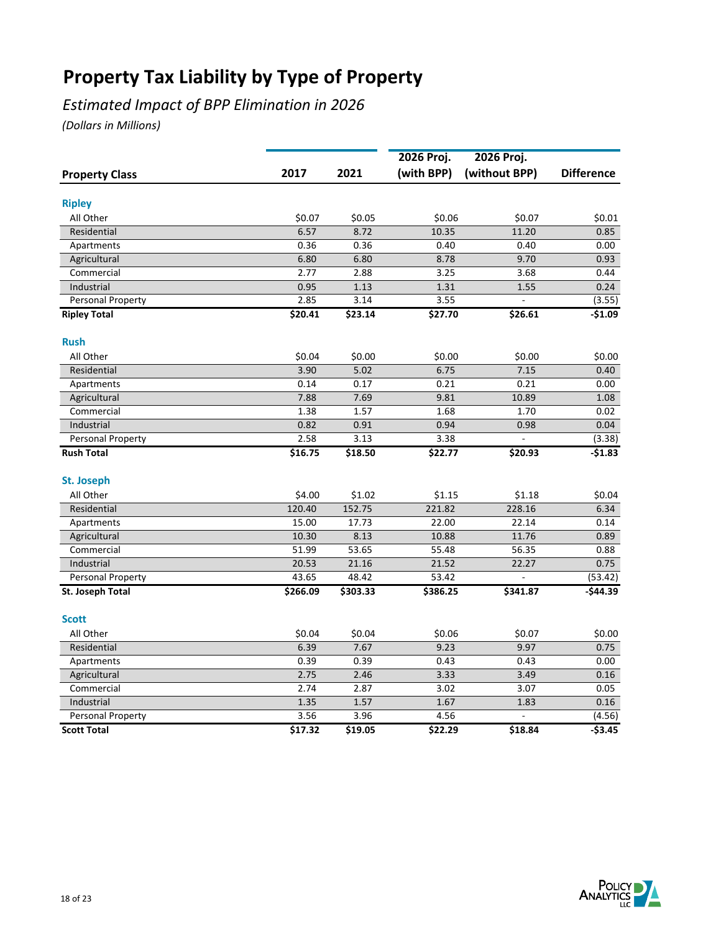## *Estimated Impact of BPP Elimination in 2026*

|                       |          |          | 2026 Proj. | 2026 Proj.     |                   |
|-----------------------|----------|----------|------------|----------------|-------------------|
| <b>Property Class</b> | 2017     | 2021     | (with BPP) | (without BPP)  | <b>Difference</b> |
| <b>Ripley</b>         |          |          |            |                |                   |
| All Other             | \$0.07   | \$0.05   | \$0.06     | \$0.07         | \$0.01            |
| Residential           | 6.57     | 8.72     | 10.35      | 11.20          | 0.85              |
| Apartments            | 0.36     | 0.36     | 0.40       | 0.40           | 0.00              |
| Agricultural          | 6.80     | 6.80     | 8.78       | 9.70           | 0.93              |
| Commercial            | 2.77     | 2.88     | 3.25       | 3.68           | 0.44              |
| Industrial            | 0.95     | 1.13     | 1.31       | 1.55           | 0.24              |
| Personal Property     | 2.85     | 3.14     | 3.55       | $\overline{a}$ | (3.55)            |
| <b>Ripley Total</b>   | \$20.41  | \$23.14  | \$27.70    | \$26.61        | $-$1.09$          |
| <b>Rush</b>           |          |          |            |                |                   |
| All Other             | \$0.04   | \$0.00   | \$0.00     | \$0.00         | \$0.00            |
| Residential           | 3.90     | 5.02     | 6.75       | 7.15           | 0.40              |
| Apartments            | 0.14     | 0.17     | 0.21       | 0.21           | 0.00              |
| Agricultural          | 7.88     | 7.69     | 9.81       | 10.89          | 1.08              |
| Commercial            | 1.38     | 1.57     | 1.68       | 1.70           | 0.02              |
| Industrial            | 0.82     | 0.91     | 0.94       | 0.98           | 0.04              |
| Personal Property     | 2.58     | 3.13     | 3.38       |                | (3.38)            |
| <b>Rush Total</b>     | \$16.75  | \$18.50  | \$22.77    | \$20.93        | $-51.83$          |
| <b>St. Joseph</b>     |          |          |            |                |                   |
| All Other             | \$4.00   | \$1.02   | \$1.15     | \$1.18         | \$0.04            |
| Residential           | 120.40   | 152.75   | 221.82     | 228.16         | 6.34              |
| Apartments            | 15.00    | 17.73    | 22.00      | 22.14          | 0.14              |
| Agricultural          | 10.30    | 8.13     | 10.88      | 11.76          | 0.89              |
| Commercial            | 51.99    | 53.65    | 55.48      | 56.35          | 0.88              |
| Industrial            | 20.53    | 21.16    | 21.52      | 22.27          | 0.75              |
| Personal Property     | 43.65    | 48.42    | 53.42      |                | (53.42)           |
| St. Joseph Total      | \$266.09 | \$303.33 | \$386.25   | \$341.87       | $-$44.39$         |
| <b>Scott</b>          |          |          |            |                |                   |
| All Other             | \$0.04   | \$0.04   | \$0.06     | \$0.07         | \$0.00            |
| Residential           | 6.39     | 7.67     | 9.23       | 9.97           | 0.75              |
| Apartments            | 0.39     | 0.39     | 0.43       | 0.43           | 0.00              |
| Agricultural          | 2.75     | 2.46     | 3.33       | 3.49           | 0.16              |
| Commercial            | 2.74     | 2.87     | 3.02       | 3.07           | 0.05              |
| Industrial            | 1.35     | 1.57     | 1.67       | 1.83           | 0.16              |
| Personal Property     | 3.56     | 3.96     | 4.56       |                | (4.56)            |
| <b>Scott Total</b>    | \$17.32  | \$19.05  | \$22.29    | \$18.84        | $-53.45$          |

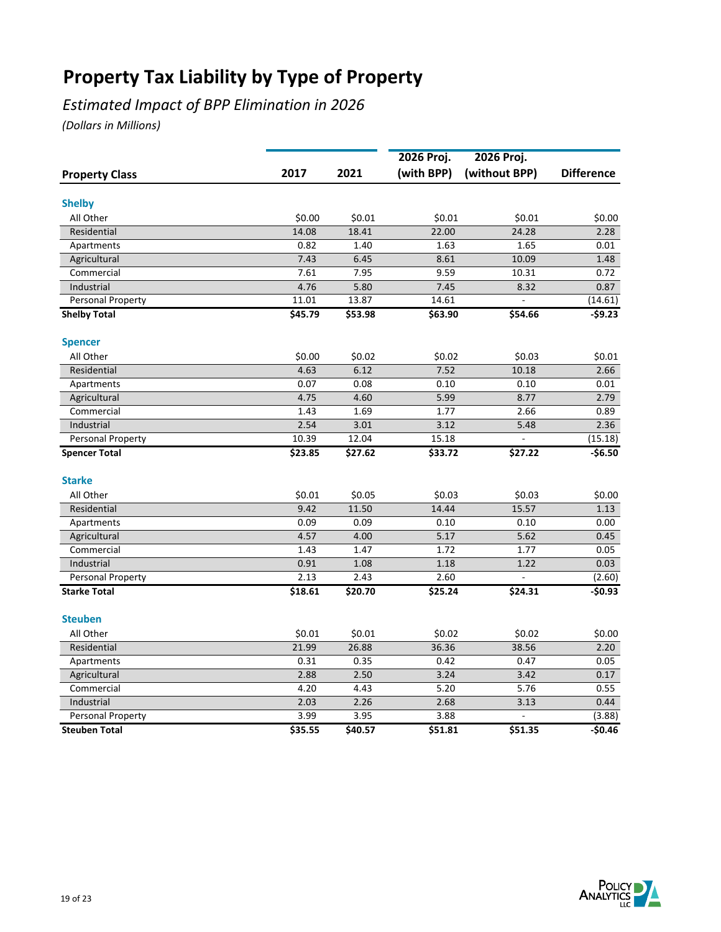## *Estimated Impact of BPP Elimination in 2026*

|                       |         |         | 2026 Proj. | 2026 Proj.    |                   |
|-----------------------|---------|---------|------------|---------------|-------------------|
| <b>Property Class</b> | 2017    | 2021    | (with BPP) | (without BPP) | <b>Difference</b> |
| <b>Shelby</b>         |         |         |            |               |                   |
| All Other             | \$0.00  | \$0.01  | \$0.01     | \$0.01        | \$0.00            |
| Residential           | 14.08   | 18.41   | 22.00      | 24.28         | 2.28              |
| Apartments            | 0.82    | 1.40    | 1.63       | 1.65          | 0.01              |
| Agricultural          | 7.43    | 6.45    | 8.61       | 10.09         | 1.48              |
| Commercial            | 7.61    | 7.95    | 9.59       | 10.31         | 0.72              |
| Industrial            | 4.76    | 5.80    | 7.45       | 8.32          | 0.87              |
| Personal Property     | 11.01   | 13.87   | 14.61      | L.            | (14.61)           |
| <b>Shelby Total</b>   | \$45.79 | \$53.98 | \$63.90    | \$54.66       | $-59.23$          |
| <b>Spencer</b>        |         |         |            |               |                   |
| All Other             | \$0.00  | \$0.02  | \$0.02     | \$0.03        | \$0.01            |
| Residential           | 4.63    | 6.12    | 7.52       | 10.18         | 2.66              |
| Apartments            | 0.07    | 0.08    | 0.10       | 0.10          | 0.01              |
| Agricultural          | 4.75    | 4.60    | 5.99       | 8.77          | 2.79              |
| Commercial            | 1.43    | 1.69    | 1.77       | 2.66          | 0.89              |
| Industrial            | 2.54    | 3.01    | 3.12       | 5.48          | 2.36              |
| Personal Property     | 10.39   | 12.04   | 15.18      |               | (15.18)           |
| <b>Spencer Total</b>  | \$23.85 | \$27.62 | \$33.72    | \$27.22       | $-$6.50$          |
| <b>Starke</b>         |         |         |            |               |                   |
| All Other             | \$0.01  | \$0.05  | \$0.03     | \$0.03        | \$0.00            |
| Residential           | 9.42    | 11.50   | 14.44      | 15.57         | 1.13              |
| Apartments            | 0.09    | 0.09    | 0.10       | 0.10          | 0.00              |
| Agricultural          | 4.57    | 4.00    | 5.17       | 5.62          | 0.45              |
| Commercial            | 1.43    | 1.47    | 1.72       | 1.77          | 0.05              |
| Industrial            | 0.91    | 1.08    | 1.18       | 1.22          | 0.03              |
| Personal Property     | 2.13    | 2.43    | 2.60       |               | (2.60)            |
| <b>Starke Total</b>   | \$18.61 | \$20.70 | \$25.24    | \$24.31       | -\$0.93           |
| <b>Steuben</b>        |         |         |            |               |                   |
| All Other             | \$0.01  | \$0.01  | \$0.02     | \$0.02        | \$0.00            |
| Residential           | 21.99   | 26.88   | 36.36      | 38.56         | 2.20              |
| Apartments            | 0.31    | 0.35    | 0.42       | 0.47          | 0.05              |
| Agricultural          | 2.88    | 2.50    | 3.24       | 3.42          | 0.17              |
| Commercial            | 4.20    | 4.43    | 5.20       | 5.76          | 0.55              |
| Industrial            | 2.03    | 2.26    | 2.68       | 3.13          | 0.44              |
| Personal Property     | 3.99    | 3.95    | 3.88       |               | (3.88)            |
| <b>Steuben Total</b>  | \$35.55 | \$40.57 | \$51.81    | \$51.35       | $-50.46$          |

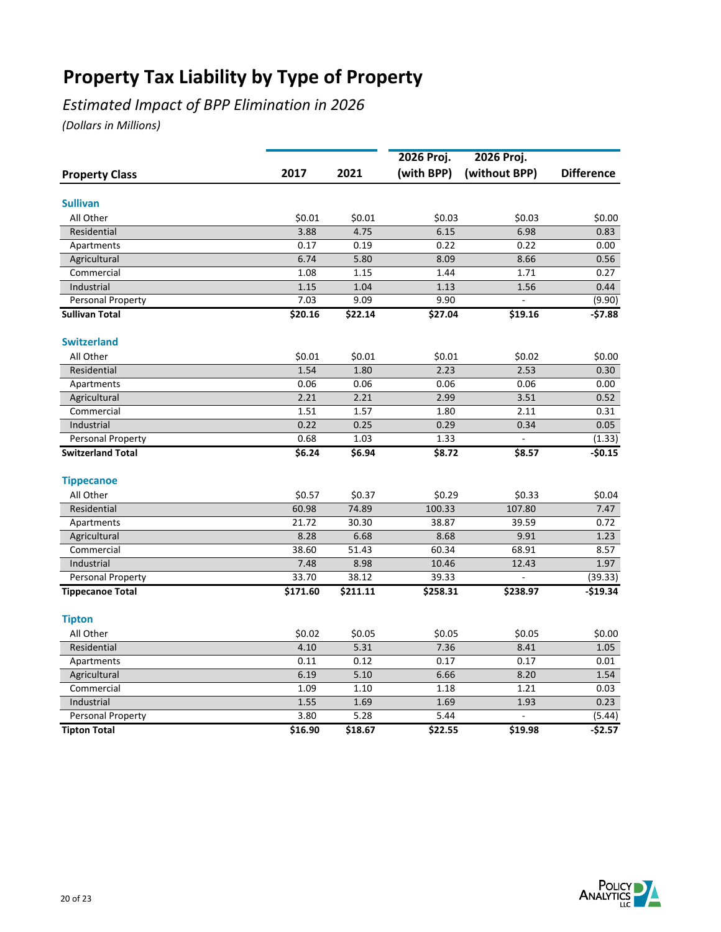### *Estimated Impact of BPP Elimination in 2026*

|                          |          |              | 2026 Proj.   | 2026 Proj.             |                   |
|--------------------------|----------|--------------|--------------|------------------------|-------------------|
| <b>Property Class</b>    | 2017     | 2021         | (with BPP)   | (without BPP)          | <b>Difference</b> |
|                          |          |              |              |                        |                   |
| <b>Sullivan</b>          |          |              |              |                        |                   |
| All Other                | \$0.01   | \$0.01       | \$0.03       | \$0.03                 | \$0.00            |
| Residential              | 3.88     | 4.75         | 6.15         | 6.98                   | 0.83              |
| Apartments               | 0.17     | 0.19         | 0.22         | 0.22                   | 0.00              |
| Agricultural             | 6.74     | 5.80         | 8.09         | 8.66                   | 0.56              |
| Commercial               | 1.08     | 1.15         | 1.44         | 1.71                   | 0.27              |
| Industrial               | 1.15     | 1.04         | 1.13         | 1.56                   | 0.44              |
| Personal Property        | 7.03     | 9.09         | 9.90         |                        | (9.90)            |
| <b>Sullivan Total</b>    | \$20.16  | \$22.14      | \$27.04      | \$19.16                | -\$7.88           |
| <b>Switzerland</b>       |          |              |              |                        |                   |
| All Other                | \$0.01   | \$0.01       | \$0.01       | \$0.02                 | \$0.00            |
| Residential              | 1.54     | 1.80         | 2.23         | 2.53                   | 0.30              |
| Apartments               | 0.06     | 0.06         | 0.06         | 0.06                   | 0.00              |
| Agricultural             | 2.21     | 2.21         | 2.99         | 3.51                   | 0.52              |
| Commercial               | 1.51     | 1.57         | 1.80         | 2.11                   | 0.31              |
| Industrial               | 0.22     | 0.25         | 0.29         | 0.34                   | 0.05              |
| Personal Property        | 0.68     | 1.03         | 1.33         | $\overline{a}$         | (1.33)            |
| <b>Switzerland Total</b> | \$6.24   | \$6.94       | \$8.72       | \$8.57                 | $-50.15$          |
| <b>Tippecanoe</b>        |          |              |              |                        |                   |
| All Other                | \$0.57   | \$0.37       | \$0.29       | \$0.33                 | \$0.04            |
| Residential              | 60.98    | 74.89        | 100.33       | 107.80                 | 7.47              |
| Apartments               | 21.72    | 30.30        | 38.87        | 39.59                  | 0.72              |
| Agricultural             | 8.28     | 6.68         | 8.68         | 9.91                   | 1.23              |
| Commercial               | 38.60    | 51.43        | 60.34        | 68.91                  | 8.57              |
| Industrial               | 7.48     | 8.98         | 10.46        | 12.43                  | 1.97              |
| Personal Property        | 33.70    | 38.12        | 39.33        |                        | (39.33)           |
| <b>Tippecanoe Total</b>  | \$171.60 | \$211.11     | \$258.31     | \$238.97               | $-$19.34$         |
| <b>Tipton</b>            |          |              |              |                        |                   |
| All Other                | \$0.02   | \$0.05       | \$0.05       | \$0.05                 | \$0.00            |
| Residential              | 4.10     | 5.31         | 7.36         | 8.41                   | 1.05              |
| Apartments               | 0.11     | 0.12         | 0.17         | 0.17                   | 0.01              |
| Agricultural             | 6.19     | 5.10         | 6.66         | 8.20                   | 1.54              |
| Commercial               |          |              |              |                        |                   |
|                          | 1.09     | 1.10         | 1.18         | 1.21                   | 0.03              |
| Industrial               | 1.55     | 1.69<br>5.28 | 1.69<br>5.44 | 1.93<br>$\overline{a}$ | 0.23              |
| Personal Property        | 3.80     |              |              |                        | (5.44)            |
| <b>Tipton Total</b>      | \$16.90  | \$18.67      | \$22.55      | \$19.98                | $-$2.57$          |

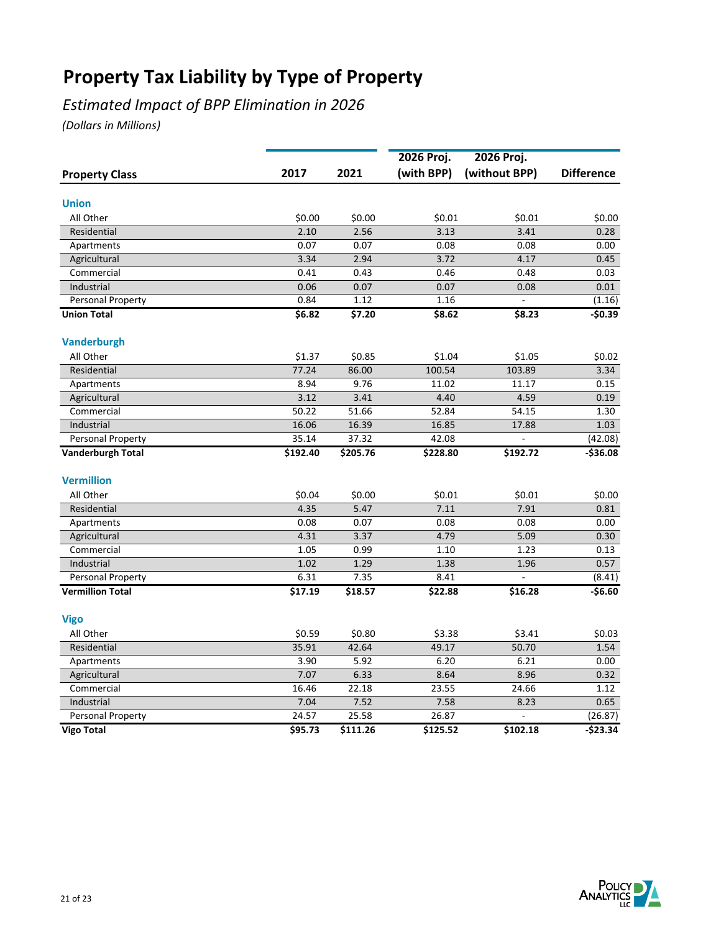## *Estimated Impact of BPP Elimination in 2026*

|                          |          |          | 2026 Proj. | 2026 Proj.     |                   |  |
|--------------------------|----------|----------|------------|----------------|-------------------|--|
| <b>Property Class</b>    | 2017     | 2021     | (with BPP) | (without BPP)  | <b>Difference</b> |  |
| <b>Union</b>             |          |          |            |                |                   |  |
| All Other                | \$0.00   | \$0.00   | \$0.01     | \$0.01         | \$0.00            |  |
| Residential              | 2.10     | 2.56     | 3.13       | 3.41           | 0.28              |  |
| Apartments               | 0.07     | 0.07     | 0.08       | 0.08           | 0.00              |  |
| Agricultural             | 3.34     | 2.94     | 3.72       | 4.17           | 0.45              |  |
| Commercial               | 0.41     | 0.43     | 0.46       | 0.48           | 0.03              |  |
| Industrial               | 0.06     | 0.07     | 0.07       | 0.08           | 0.01              |  |
| Personal Property        | 0.84     | 1.12     | 1.16       |                | (1.16)            |  |
| <b>Union Total</b>       | \$6.82   | \$7.20   | \$8.62     | \$8.23         | -\$0.39           |  |
|                          |          |          |            |                |                   |  |
| <b>Vanderburgh</b>       |          |          |            |                |                   |  |
| All Other                | \$1.37   | \$0.85   | \$1.04     | \$1.05         | \$0.02            |  |
| Residential              | 77.24    | 86.00    | 100.54     | 103.89         | 3.34              |  |
| Apartments               | 8.94     | 9.76     | 11.02      | 11.17          | 0.15              |  |
| Agricultural             | 3.12     | 3.41     | 4.40       | 4.59           | 0.19              |  |
| Commercial               | 50.22    | 51.66    | 52.84      | 54.15          | 1.30              |  |
| Industrial               | 16.06    | 16.39    | 16.85      | 17.88          | 1.03              |  |
| Personal Property        | 35.14    | 37.32    | 42.08      | $\overline{a}$ | (42.08)           |  |
| <b>Vanderburgh Total</b> | \$192.40 | \$205.76 | \$228.80   | \$192.72       | $-536.08$         |  |
| <b>Vermillion</b>        |          |          |            |                |                   |  |
| All Other                | \$0.04   | \$0.00   | \$0.01     | \$0.01         | \$0.00            |  |
| Residential              | 4.35     | 5.47     | 7.11       | 7.91           | 0.81              |  |
| Apartments               | 0.08     | 0.07     | 0.08       | 0.08           | 0.00              |  |
| Agricultural             | 4.31     | 3.37     | 4.79       | 5.09           | 0.30              |  |
| Commercial               | 1.05     | 0.99     | 1.10       | 1.23           | 0.13              |  |
| Industrial               | 1.02     | 1.29     | 1.38       | 1.96           | 0.57              |  |
| Personal Property        | 6.31     | 7.35     | 8.41       |                | (8.41)            |  |
| <b>Vermillion Total</b>  | \$17.19  | \$18.57  | \$22.88    | \$16.28        | $-56.60$          |  |
| <b>Vigo</b>              |          |          |            |                |                   |  |
| All Other                | \$0.59   | \$0.80   | \$3.38     | \$3.41         | \$0.03            |  |
| Residential              | 35.91    | 42.64    | 49.17      | 50.70          | 1.54              |  |
| Apartments               | 3.90     | 5.92     | 6.20       | 6.21           | 0.00              |  |
| Agricultural             | 7.07     | 6.33     | 8.64       | 8.96           | 0.32              |  |
| Commercial               | 16.46    | 22.18    | 23.55      | 24.66          | 1.12              |  |
| Industrial               | 7.04     | 7.52     | 7.58       | 8.23           | 0.65              |  |
| Personal Property        | 24.57    | 25.58    | 26.87      |                | (26.87)           |  |
| <b>Vigo Total</b>        | \$95.73  | \$111.26 | \$125.52   | \$102.18       | $-523.34$         |  |
|                          |          |          |            |                |                   |  |

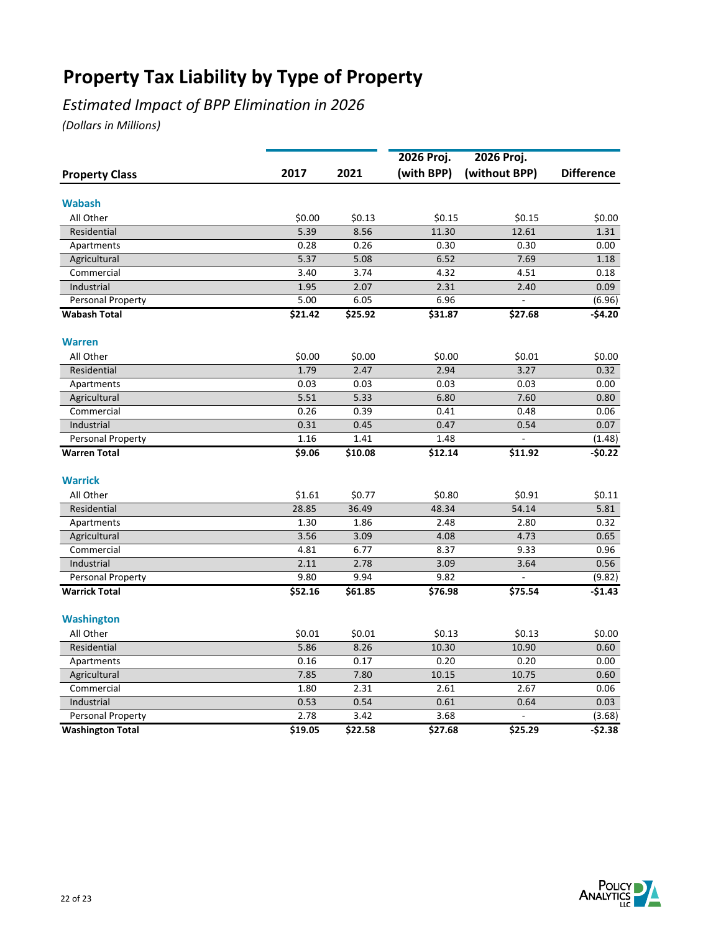## *Estimated Impact of BPP Elimination in 2026*

|                         |              |              | 2026 Proj.   | 2026 Proj.               |                   |
|-------------------------|--------------|--------------|--------------|--------------------------|-------------------|
| <b>Property Class</b>   | 2017         | 2021         | (with BPP)   | (without BPP)            | <b>Difference</b> |
| <b>Wabash</b>           |              |              |              |                          |                   |
| All Other               | \$0.00       | \$0.13       | \$0.15       | \$0.15                   | \$0.00            |
| Residential             | 5.39         | 8.56         | 11.30        | 12.61                    | 1.31              |
|                         | 0.28         | 0.26         | 0.30         | 0.30                     | 0.00              |
| Apartments              | 5.37         |              | 6.52         | 7.69                     |                   |
| Agricultural            |              | 5.08         |              |                          | 1.18              |
| Commercial              | 3.40         | 3.74         | 4.32         | 4.51                     | 0.18              |
| Industrial              | 1.95<br>5.00 | 2.07<br>6.05 | 2.31<br>6.96 | 2.40<br>$\overline{a}$   | 0.09              |
| Personal Property       |              |              |              |                          | (6.96)            |
| <b>Wabash Total</b>     | \$21.42      | \$25.92      | \$31.87      | \$27.68                  | -\$4.20           |
| <b>Warren</b>           |              |              |              |                          |                   |
| All Other               | \$0.00       | \$0.00       | \$0.00       | \$0.01                   | \$0.00            |
| Residential             | 1.79         | 2.47         | 2.94         | 3.27                     | 0.32              |
| Apartments              | 0.03         | 0.03         | 0.03         | 0.03                     | 0.00              |
| Agricultural            | 5.51         | 5.33         | 6.80         | 7.60                     | 0.80              |
| Commercial              | 0.26         | 0.39         | 0.41         | 0.48                     | 0.06              |
| Industrial              | 0.31         | 0.45         | 0.47         | 0.54                     | 0.07              |
| Personal Property       | 1.16         | 1.41         | 1.48         | $\overline{\phantom{a}}$ | (1.48)            |
| <b>Warren Total</b>     | \$9.06       | 510.08       | \$12.14      | \$11.92                  | $-50.22$          |
| <b>Warrick</b>          |              |              |              |                          |                   |
| All Other               | \$1.61       | \$0.77       | \$0.80       | \$0.91                   | \$0.11            |
| Residential             | 28.85        | 36.49        | 48.34        | 54.14                    | 5.81              |
| Apartments              | 1.30         | 1.86         | 2.48         | 2.80                     | 0.32              |
| Agricultural            | 3.56         | 3.09         | 4.08         | 4.73                     | 0.65              |
| Commercial              | 4.81         | 6.77         | 8.37         | 9.33                     | 0.96              |
| Industrial              | 2.11         | 2.78         | 3.09         | 3.64                     | 0.56              |
| Personal Property       | 9.80         | 9.94         | 9.82         |                          | (9.82)            |
| <b>Warrick Total</b>    | \$52.16      | \$61.85      | 576.98       | \$75.54                  | $-$1.43$          |
|                         |              |              |              |                          |                   |
| <b>Washington</b>       |              |              |              |                          |                   |
| All Other               | \$0.01       | \$0.01       | \$0.13       | \$0.13                   | \$0.00            |
| Residential             | 5.86         | 8.26         | 10.30        | 10.90                    | 0.60              |
| Apartments              | 0.16         | 0.17         | 0.20         | 0.20                     | 0.00              |
| Agricultural            | 7.85         | 7.80         | 10.15        | 10.75                    | 0.60              |
| Commercial              | 1.80         | 2.31         | 2.61         | 2.67                     | 0.06              |
| Industrial              | 0.53         | 0.54         | 0.61         | 0.64                     | 0.03              |
| Personal Property       | 2.78         | 3.42         | 3.68         | $\overline{a}$           | (3.68)            |
| <b>Washington Total</b> | \$19.05      | \$22.58      | \$27.68      | \$25.29                  | $-52.38$          |